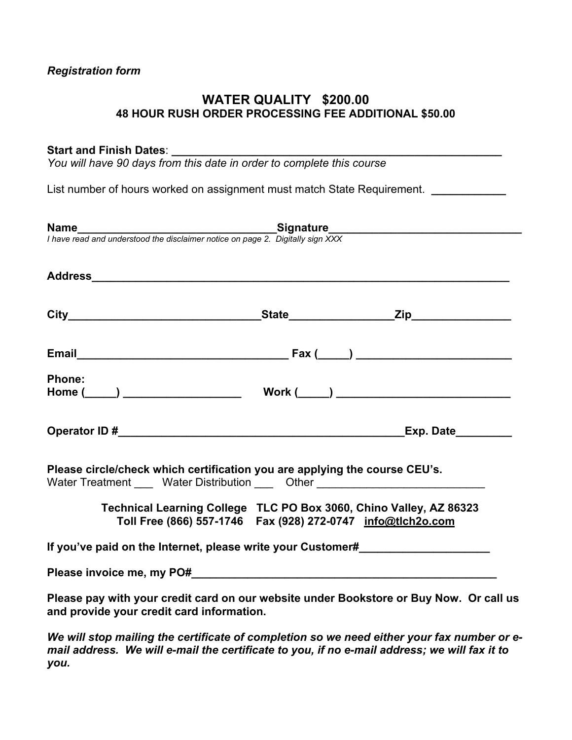# *Registration form*

# **WATER QUALITY \$200.00 48 HOUR RUSH ORDER PROCESSING FEE ADDITIONAL \$50.00**

## Start and Finish Dates:

*You will have 90 days from this date in order to complete this course* 

List number of hours worked on assignment must match State Requirement. *\_\_\_\_\_\_\_\_\_\_\_* 

| <b>Name</b><br>I have read and understood the disclaimer notice on page 2. Digitally sign XXX                                                                  |                                                                                                                                         |                                                                                        |
|----------------------------------------------------------------------------------------------------------------------------------------------------------------|-----------------------------------------------------------------------------------------------------------------------------------------|----------------------------------------------------------------------------------------|
|                                                                                                                                                                |                                                                                                                                         |                                                                                        |
|                                                                                                                                                                |                                                                                                                                         |                                                                                        |
|                                                                                                                                                                |                                                                                                                                         |                                                                                        |
| <b>Phone:</b>                                                                                                                                                  |                                                                                                                                         |                                                                                        |
|                                                                                                                                                                |                                                                                                                                         | <b>Exp. Date_________</b>                                                              |
| Please circle/check which certification you are applying the course CEU's.<br>Water Treatment _____ Water Distribution _____ Other ___________________________ |                                                                                                                                         |                                                                                        |
|                                                                                                                                                                | Technical Learning College TLC PO Box 3060, Chino Valley, AZ 86323<br>Toll Free (866) 557-1746    Fax (928) 272-0747    info@tlch2o.com |                                                                                        |
| If you've paid on the Internet, please write your Customer#                                                                                                    |                                                                                                                                         |                                                                                        |
|                                                                                                                                                                |                                                                                                                                         |                                                                                        |
| and provide your credit card information.                                                                                                                      |                                                                                                                                         | Please pay with your credit card on our website under Bookstore or Buy Now. Or call us |
|                                                                                                                                                                |                                                                                                                                         |                                                                                        |

*We will stop mailing the certificate of completion so we need either your fax number or email address. We will e-mail the certificate to you, if no e-mail address; we will fax it to you.*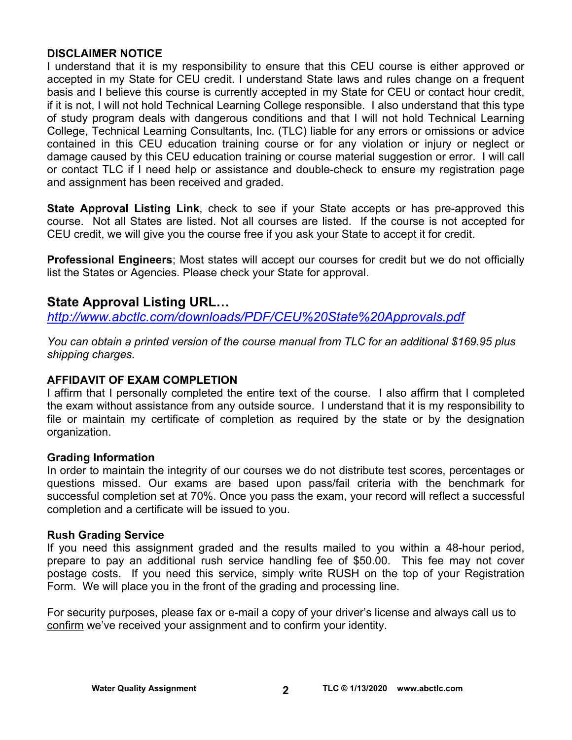# **DISCLAIMER NOTICE**

I understand that it is my responsibility to ensure that this CEU course is either approved or accepted in my State for CEU credit. I understand State laws and rules change on a frequent basis and I believe this course is currently accepted in my State for CEU or contact hour credit, if it is not, I will not hold Technical Learning College responsible. I also understand that this type of study program deals with dangerous conditions and that I will not hold Technical Learning College, Technical Learning Consultants, Inc. (TLC) liable for any errors or omissions or advice contained in this CEU education training course or for any violation or injury or neglect or damage caused by this CEU education training or course material suggestion or error. I will call or contact TLC if I need help or assistance and double-check to ensure my registration page and assignment has been received and graded.

**State Approval Listing Link**, check to see if your State accepts or has pre-approved this course. Not all States are listed. Not all courses are listed. If the course is not accepted for CEU credit, we will give you the course free if you ask your State to accept it for credit.

**Professional Engineers**; Most states will accept our courses for credit but we do not officially list the States or Agencies. Please check your State for approval.

# **State Approval Listing URL…**

*<http://www.abctlc.com/downloads/PDF/CEU%20State%20Approvals.pdf>*

*You can obtain a printed version of the course manual from TLC for an additional \$169.95 plus shipping charges.* 

# **AFFIDAVIT OF EXAM COMPLETION**

I affirm that I personally completed the entire text of the course. I also affirm that I completed the exam without assistance from any outside source. I understand that it is my responsibility to file or maintain my certificate of completion as required by the state or by the designation organization.

# **Grading Information**

In order to maintain the integrity of our courses we do not distribute test scores, percentages or questions missed. Our exams are based upon pass/fail criteria with the benchmark for successful completion set at 70%. Once you pass the exam, your record will reflect a successful completion and a certificate will be issued to you.

# **Rush Grading Service**

If you need this assignment graded and the results mailed to you within a 48-hour period, prepare to pay an additional rush service handling fee of \$50.00. This fee may not cover postage costs. If you need this service, simply write RUSH on the top of your Registration Form. We will place you in the front of the grading and processing line.

For security purposes, please fax or e-mail a copy of your driver's license and always call us to confirm we've received your assignment and to confirm your identity.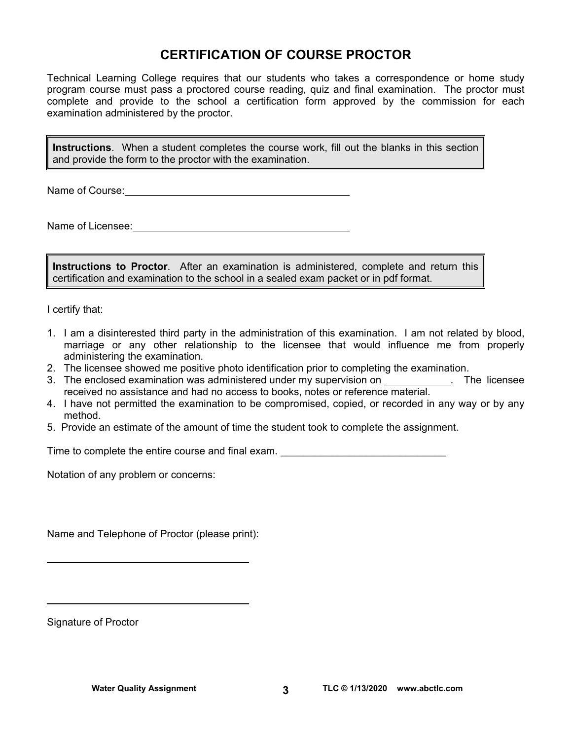# **CERTIFICATION OF COURSE PROCTOR**

Technical Learning College requires that our students who takes a correspondence or home study program course must pass a proctored course reading, quiz and final examination. The proctor must complete and provide to the school a certification form approved by the commission for each examination administered by the proctor.

**Instructions**. When a student completes the course work, fill out the blanks in this section and provide the form to the proctor with the examination.

Name of Course: **Name of Course:** 

Name of Licensee:

**Instructions to Proctor**. After an examination is administered, complete and return this certification and examination to the school in a sealed exam packet or in pdf format.

I certify that:

- 1. I am a disinterested third party in the administration of this examination. I am not related by blood, marriage or any other relationship to the licensee that would influence me from properly administering the examination.
- 2. The licensee showed me positive photo identification prior to completing the examination.
- 3. The enclosed examination was administered under my supervision on \_\_\_\_\_\_\_\_\_\_\_. The licensee received no assistance and had no access to books, notes or reference material.
- 4. I have not permitted the examination to be compromised, copied, or recorded in any way or by any method.
- 5. Provide an estimate of the amount of time the student took to complete the assignment.

Time to complete the entire course and final exam.

Notation of any problem or concerns:

Name and Telephone of Proctor (please print):

Signature of Proctor

 $\overline{a}$ 

 $\overline{a}$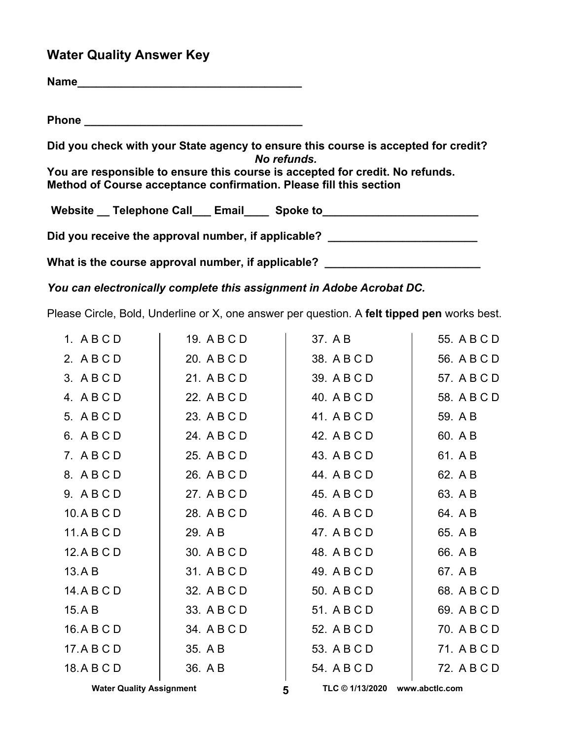# **Water Quality Answer Key**

| Did you check with your State agency to ensure this course is accepted for credit?<br>No refunds.                                                   |
|-----------------------------------------------------------------------------------------------------------------------------------------------------|
| You are responsible to ensure this course is accepted for credit. No refunds.<br>Method of Course acceptance confirmation. Please fill this section |
| Website __ Telephone Call___ Email____ Spoke to_________________________________                                                                    |
| Did you receive the approval number, if applicable? ____________________________                                                                    |
| What is the course approval number, if applicable? _____________________________                                                                    |

*You can electronically complete this assignment in Adobe Acrobat DC.* 

Please Circle, Bold, Underline or X, one answer per question. A **felt tipped pen** works best.

| 1. ABCD     | 19. A B C D | 37. A B     | 55. A B C D |
|-------------|-------------|-------------|-------------|
| 2. ABCD     | 20. A B C D | 38. A B C D | 56. A B C D |
| 3. ABCD     | 21. A B C D | 39. A B C D | 57. A B C D |
| 4. ABCD     | 22. A B C D | 40. A B C D | 58. A B C D |
| 5. ABCD     | 23. A B C D | 41. A B C D | 59. A B     |
| 6. ABCD     | 24. A B C D | 42. A B C D | 60. A B     |
| 7. ABCD     | 25. A B C D | 43. A B C D | 61. A B     |
| 8. ABCD     | 26. A B C D | 44. A B C D | 62. A B     |
| 9. ABCD     | 27. A B C D | 45. A B C D | 63. A B     |
| 10.ABCD     | 28. A B C D | 46. A B C D | 64. A B     |
| 11.ABCD     | 29. A B     | 47. A B C D | 65. A B     |
| 12.A B C D  | 30. A B C D | 48. A B C D | 66. A B     |
| 13.AB       | 31. A B C D | 49. A B C D | 67. A B     |
| 14. A B C D | 32. A B C D | 50. A B C D | 68. A B C D |
| 15.AB       | 33. A B C D | 51. A B C D | 69. A B C D |
| 16.A B C D  | 34. A B C D | 52. A B C D | 70. A B C D |
| 17.ABCD     | 35. A B     | 53. A B C D | 71. A B C D |
| 18.ABCD     | 36. AB      | 54. A B C D | 72. A B C D |
|             |             |             |             |

Water Quality Assignment **TLC © 1/13/2020** www.abctlc.com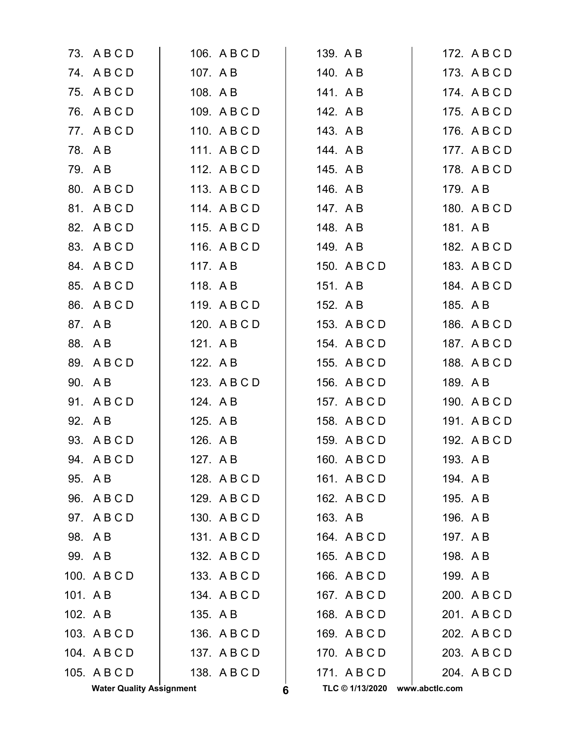|         | <b>Water Quality Assignment</b> |          |              | 6 | TLC © 1/13/2020 | www.abctlc.com |              |
|---------|---------------------------------|----------|--------------|---|-----------------|----------------|--------------|
|         | 105. A B C D                    |          | 138. A B C D |   | 171. ABCD       |                | 204. A B C D |
|         | 104. A B C D                    |          | 137. A B C D |   | 170. A B C D    |                | 203. A B C D |
|         | 103. A B C D                    |          | 136. A B C D |   | 169. A B C D    |                | 202. A B C D |
| 102. AB |                                 | 135. A B |              |   | 168. A B C D    |                | 201. A B C D |
| 101. AB |                                 |          | 134. A B C D |   | 167. A B C D    |                | 200. A B C D |
|         | 100. A B C D                    |          | 133. A B C D |   | 166. A B C D    | 199. AB        |              |
|         | 99. AB                          |          | 132. A B C D |   | 165. A B C D    | 198. A B       |              |
|         | 98. AB                          |          | 131. ABCD    |   | 164. A B C D    | 197. A B       |              |
|         | 97. ABCD                        |          | 130. A B C D |   | 163. A B        | 196. AB        |              |
|         | 96. A B C D                     |          | 129. A B C D |   | 162. A B C D    | 195. A B       |              |
|         | 95. AB                          |          | 128. A B C D |   | 161. ABCD       | 194. A B       |              |
|         | 94. ABCD                        | 127. A B |              |   | 160. ABCD       | 193. A B       |              |
|         | 93. A B C D                     | 126. A B |              |   | 159. A B C D    |                | 192. A B C D |
|         | 92. AB                          | 125. A B |              |   | 158. A B C D    |                | 191. A B C D |
|         | 91. ABCD                        | 124. A B |              |   | 157. A B C D    |                | 190. A B C D |
|         | 90. A B                         |          | 123. A B C D |   | 156. A B C D    | 189. A B       |              |
|         | 89. ABCD                        | 122. A B |              |   | 155. A B C D    |                | 188. A B C D |
|         | 88. AB                          | 121. A B |              |   | 154. A B C D    |                | 187. A B C D |
|         | 87. A B                         |          | 120. A B C D |   | 153. A B C D    |                | 186. A B C D |
|         | 86. ABCD                        |          | 119. ABCD    |   | 152. A B        | 185. A B       |              |
|         | 85. A B C D                     | 118. AB  |              |   | 151. AB         |                | 184. A B C D |
|         | 84. A B C D                     | 117. AB  |              |   | 150. A B C D    |                | 183. A B C D |
|         | 83. A B C D                     |          | 116. A B C D |   | 149. A B        |                | 182. A B C D |
|         | 82. A B C D                     |          | 115. A B C D |   | 148. AB         | 181. A B       |              |
|         | 81. ABCD                        |          | 114. ABCD    |   | 147. A B        |                | 180. A B C D |
|         | 80. ABCD                        |          | 113. ABCD    |   | 146. A B        | 179. A B       |              |
|         | 79. AB                          |          | 112. A B C D |   | 145. A B        |                | 178. A B C D |
|         | 78. AB                          |          | 111. ABCD    |   | 144. AB         |                | 177. A B C D |
|         | 77. ABCD                        |          | 110. A B C D |   | 143. A B        |                | 176. A B C D |
|         | 76. A B C D                     |          | 109. A B C D |   | 142. AB         |                | 175. A B C D |
|         | 75. ABCD                        | 108. A B |              |   | 141. AB         |                | 174. ABCD    |
|         | 74. ABCD                        | 107. A B |              |   | 140. A B        |                | 173. A B C D |
|         | 73. A B C D                     |          | 106. A B C D |   | 139. A B        |                | 172. A B C D |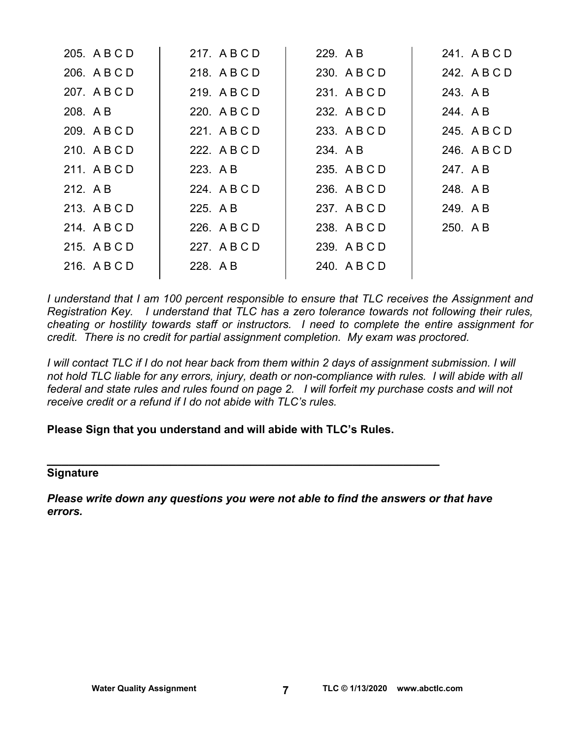| 205. A B C D | 217. ABCD    | 229. AB      | 241. ABCD    |
|--------------|--------------|--------------|--------------|
| 206. A B C D | 218. ABCD    | 230. A B C D | 242. A B C D |
| 207. A B C D | 219. ABCD    | 231. ABCD    | 243. A B     |
| 208. A B     | 220. A B C D | 232. A B C D | 244. A B     |
| 209. A B C D | 221. A B C D | 233. A B C D | 245. A B C D |
| 210. A B C D | 222. A B C D | 234. A B     | 246. A B C D |
| 211. ABCD    | 223. A B     | 235. A B C D | 247. A B     |
| 212. AB      | 224. A B C D | 236. A B C D | 248. AB      |
| 213. ABCD    | 225. A B     | 237. ABCD    | 249. AB      |
| 214. ABCD    | 226. A B C D | 238. A B C D | 250. AB      |
| 215. ABCD    | 227. ABCD    | 239. A B C D |              |
| 216. ABCD    | 228. AB      | 240. A B C D |              |
|              |              |              |              |

*I understand that I am 100 percent responsible to ensure that TLC receives the Assignment and Registration Key. I understand that TLC has a zero tolerance towards not following their rules, cheating or hostility towards staff or instructors. I need to complete the entire assignment for credit. There is no credit for partial assignment completion. My exam was proctored.* 

*I* will contact TLC if I do not hear back from them within 2 days of assignment submission. I will *not hold TLC liable for any errors, injury, death or non-compliance with rules. I will abide with all federal and state rules and rules found on page 2. I will forfeit my purchase costs and will not receive credit or a refund if I do not abide with TLC's rules.* 

# **Please Sign that you understand and will abide with TLC's Rules.**

**\_\_\_\_\_\_\_\_\_\_\_\_\_\_\_\_\_\_\_\_\_\_\_\_\_\_\_\_\_\_\_\_\_\_\_\_\_\_\_\_\_\_\_\_\_\_\_\_\_\_\_\_\_\_** 

## **Signature**

*Please write down any questions you were not able to find the answers or that have errors.*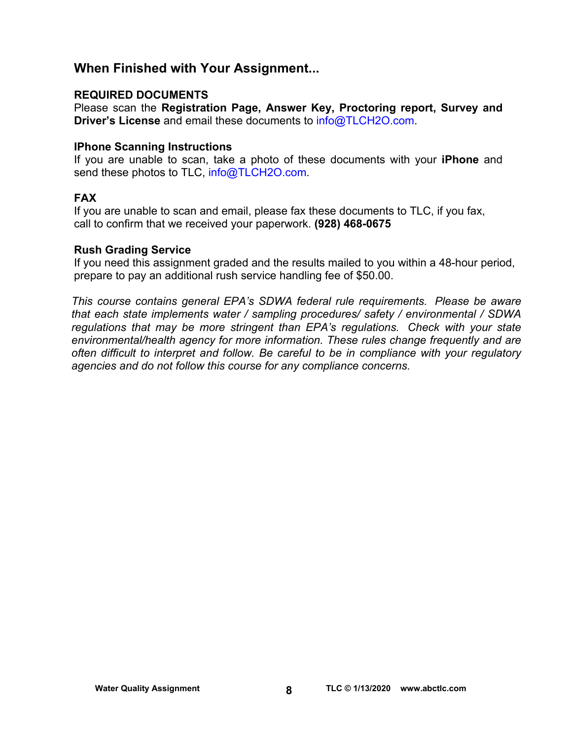# **When Finished with Your Assignment...**

# **REQUIRED DOCUMENTS**

Please scan the **Registration Page, Answer Key, Proctoring report, Survey and Driver's License** and email these documents to [info@TLCH2O.com.](mailto:info@TLCH2O.com) 

# **IPhone Scanning Instructions**

If you are unable to scan, take a photo of these documents with your **iPhone** and send these photos to TLC, info@TLCH2O.com.

# **FAX**

If you are unable to scan and email, please fax these documents to TLC, if you fax, call to confirm that we received your paperwork. **(928) 468-0675** 

## **Rush Grading Service**

If you need this assignment graded and the results mailed to you within a 48-hour period, prepare to pay an additional rush service handling fee of \$50.00.

*This course contains general EPA's SDWA federal rule requirements. Please be aware that each state implements water / sampling procedures/ safety / environmental / SDWA regulations that may be more stringent than EPA's regulations. Check with your state environmental/health agency for more information. These rules change frequently and are often difficult to interpret and follow. Be careful to be in compliance with your regulatory agencies and do not follow this course for any compliance concerns.*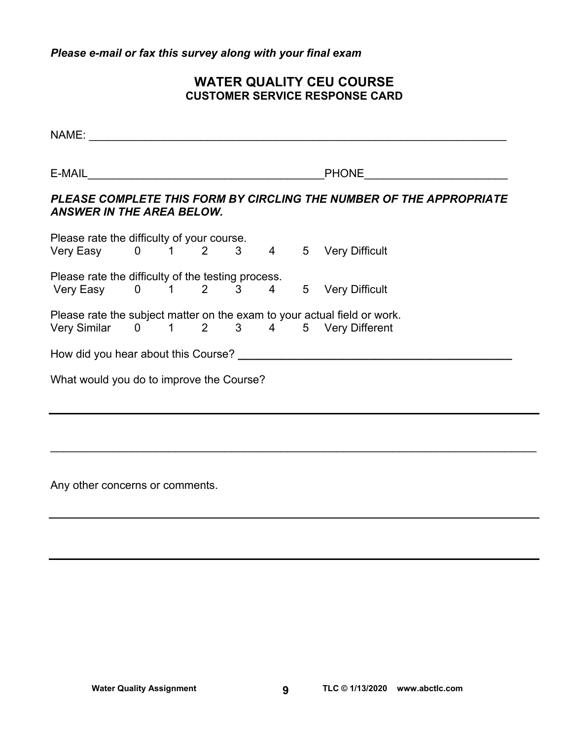*Please e-mail or fax this survey along with your final exam* 

# **WATER QUALITY CEU COURSE CUSTOMER SERVICE RESPONSE CARD**

| NAME:                                              |  |  |  |                                                                          |
|----------------------------------------------------|--|--|--|--------------------------------------------------------------------------|
|                                                    |  |  |  | <b>PHONE Example 2019</b>                                                |
| <b>ANSWER IN THE AREA BELOW.</b>                   |  |  |  | PLEASE COMPLETE THIS FORM BY CIRCLING THE NUMBER OF THE APPROPRIATE      |
| Please rate the difficulty of your course.         |  |  |  |                                                                          |
| Very Easy 0 1 2 3 4 5 Very Difficult               |  |  |  |                                                                          |
| Please rate the difficulty of the testing process. |  |  |  |                                                                          |
| Very Easy 0 1 2 3 4 5 Very Difficult               |  |  |  |                                                                          |
|                                                    |  |  |  | Please rate the subject matter on the exam to your actual field or work. |
|                                                    |  |  |  | Very Similar 0 1 2 3 4 5 Very Different                                  |
|                                                    |  |  |  |                                                                          |
| What would you do to improve the Course?           |  |  |  |                                                                          |
|                                                    |  |  |  |                                                                          |
|                                                    |  |  |  |                                                                          |

\_\_\_\_\_\_\_\_\_\_\_\_\_\_\_\_\_\_\_\_\_\_\_\_\_\_\_\_\_\_\_\_\_\_\_\_\_\_\_\_\_\_\_\_\_\_\_\_\_\_\_\_\_\_\_\_\_\_\_\_\_\_\_\_\_\_\_\_\_\_\_\_\_\_\_\_\_\_

Any other concerns or comments.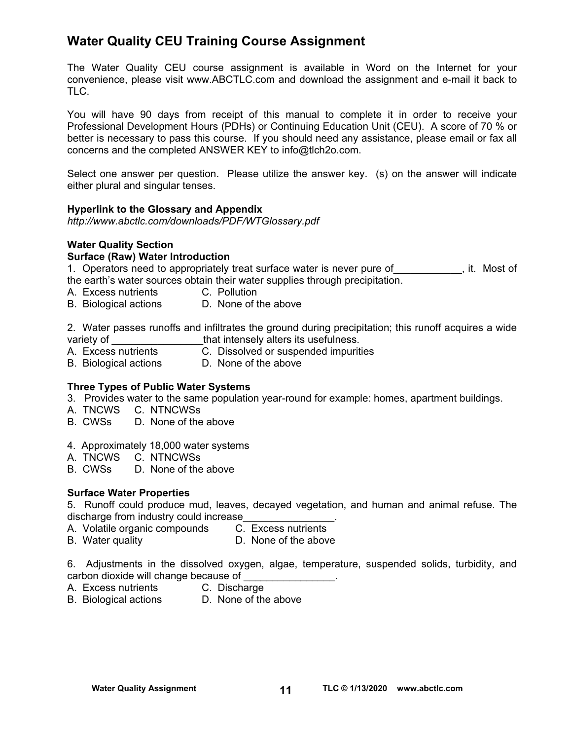# **Water Quality CEU Training Course Assignment**

The Water Quality CEU course assignment is available in Word on the Internet for your convenience, please visit [www.ABCTLC.com an](http://www.ABCTLC.com)d download the assignment and e-mail it back to TLC.

You will have 90 days from receipt of this manual to complete it in order to receive your Professional Development Hours (PDHs) or Continuing Education Unit (CEU). A score of 70 % or better is necessary to pass this course. If you should need any assistance, please email or fax all concerns and the completed ANSWER KEY to [info@tlch2o.com.](mailto:info@tlch2o.com) 

Select one answer per question. Please utilize the answer key. (s) on the answer will indicate either plural and singular tenses.

#### **Hyperlink to the Glossary and Appendix**

*<http://www.abctlc.com/downloads/PDF/WTGlossary.pdf>*

#### **Water Quality Section Surface (Raw) Water Introduction**

1. Operators need to appropriately treat surface water is never pure of Theorem it. Most of the earth's water sources obtain their water supplies through precipitation.

- A. Excess nutrients C. Pollution
- B. Biological actions D. None of the above

2. Water passes runoffs and infiltrates the ground during precipitation; this runoff acquires a wide that intensely alters its usefulness.

- A. Excess nutrients C. Dissolved or suspended impurities
- B. Biological actions D. None of the above

#### **Three Types of Public Water Systems**

- 3.Provides water to the same population year-round for example: homes, apartment buildings.
- A. TNCWS C. NTNCWSs
- B. CWSs D. None of the above
- 4. Approximately 18,000 water systems
- A. TNCWS C. NTNCWSs
- B. CWSs D. None of the above

## **Surface Water Properties**

5. Runoff could produce mud, leaves, decayed vegetation, and human and animal refuse. The discharge from industry could increase<br>A. Volatile organic compounds C. Excess nutrients

- A. Volatile organic compounds
	-
- B. Water quality **D.** None of the above

6. Adjustments in the dissolved oxygen, algae, temperature, suspended solids, turbidity, and carbon dioxide will change because of

- A. Excess nutrients C. Discharge
	-
- B. Biological actions D. None of the above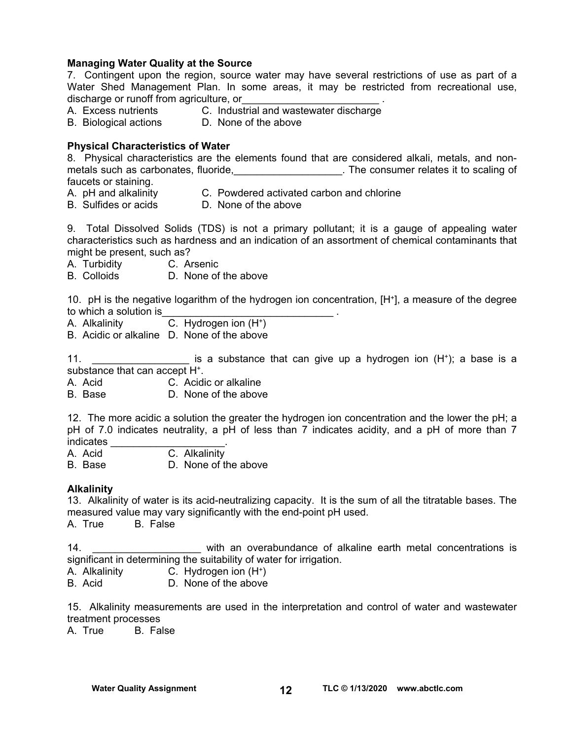#### **Managing Water Quality at the Source**

7. Contingent upon the region, source water may have several restrictions of use as part of a Water Shed Management Plan. In some areas, it may be restricted from recreational use, discharge or runoff from agriculture, or

- 
- A. Excess nutrients C. Industrial and wastewater discharge
- B. Biological actions D. None of the above

#### **Physical Characteristics of Water**

8. Physical characteristics are the elements found that are considered alkali, metals, and nonmetals such as carbonates, fluoride, the consumer relates it to scaling of faucets or staining.

- A. pH and alkalinity C. Powdered activated carbon and chlorine
- 
- B. Sulfides or acids D. None of the above

9. Total Dissolved Solids (TDS) is not a primary pollutant; it is a gauge of appealing water characteristics such as hardness and an indication of an assortment of chemical contaminants that might be present, such as?

- A. Turbidity C. Arsenic
- B. Colloids D. None of the above

10. pH is the negative logarithm of the hydrogen ion concentration, [H+], a measure of the degree to which a solution is

- A. Alkalinity C. Hydrogen ion (H+)
- B. Acidic or alkaline D. None of the above

11. **Example 11.** The substance that can give up a hydrogen ion (H<sup>+</sup>); a base is a substance that can accept H+.

A. Acid C. Acidic or alkaline

B. Base D. None of the above

12. The more acidic a solution the greater the hydrogen ion concentration and the lower the pH; a pH of 7.0 indicates neutrality, a pH of less than 7 indicates acidity, and a pH of more than 7 indicates

- A. Acid C. Alkalinity
- B. Base D. None of the above

#### **Alkalinity**

13. Alkalinity of water is its acid-neutralizing capacity. It is the sum of all the titratable bases. The measured value may vary significantly with the end-point pH used.<br>A. True B. False

A. True

14. \_\_\_\_\_\_\_\_\_\_\_\_\_\_\_\_\_\_\_ with an overabundance of alkaline earth metal concentrations is significant in determining the suitability of water for irrigation.

- A. Alkalinity C. Hydrogen ion (H+)
- B. Acid D. None of the above

15. Alkalinity measurements are used in the interpretation and control of water and wastewater treatment processes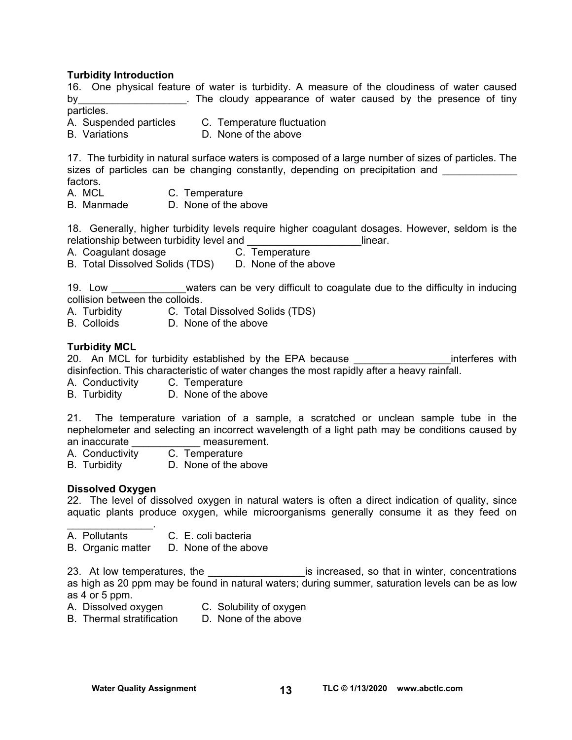### **Turbidity Introduction**

16. One physical feature of water is turbidity. A measure of the cloudiness of water caused by the cloudy appearance of water caused by the presence of tiny particles.

A. Suspended particles C. Temperature fluctuation

B. Variations D. None of the above

17. The turbidity in natural surface waters is composed of a large number of sizes of particles. The sizes of particles can be changing constantly, depending on precipitation and factors.

- A. MCL C. Temperature
- B. Manmade D. None of the above

18. Generally, higher turbidity levels require higher coagulant dosages. However, seldom is the relationship between turbidity level and \_\_\_\_\_\_\_\_\_\_\_\_\_\_\_\_\_\_\_\_linear.

A. Coagulant dosage

B. Total Dissolved Solids (TDS) D. None of the above

19. Low **EXECUTE:** We waters can be very difficult to coagulate due to the difficulty in inducing collision between the colloids.

- A. Turbidity C. Total Dissolved Solids (TDS)
- B. Colloids D. None of the above

#### **Turbidity MCL**

20. An MCL for turbidity established by the EPA because **EXAL EXACCO EXACCO** interferes with disinfection. This characteristic of water changes the most rapidly after a heavy rainfall.

- A. Conductivity C. Temperature
- B. Turbidity D. None of the above

21. The temperature variation of a sample, a scratched or unclean sample tube in the nephelometer and selecting an incorrect wavelength of a light path may be conditions caused by an inaccurate **and interest** measurement.

- A. Conductivity C. Temperature
- B. Turbidity D. None of the above

#### **Dissolved Oxygen**

 $\mathcal{L}=\mathcal{L}^{\mathcal{L}}$  , where  $\mathcal{L}^{\mathcal{L}}$ 

22. The level of dissolved oxygen in natural waters is often a direct indication of quality, since aquatic plants produce oxygen, while microorganisms generally consume it as they feed on

- A. Pollutants C. E. coli bacteria
- B. Organic matter D. None of the above

23. At low temperatures, the \_\_\_\_\_\_\_\_\_\_\_\_\_\_\_\_\_\_\_\_\_\_\_is increased, so that in winter, concentrations as high as 20 ppm may be found in natural waters; during summer, saturation levels can be as low as 4 or 5 ppm.

- A. Dissolved oxygen C. Solubility of oxygen
- B. Thermal stratification D. None of the above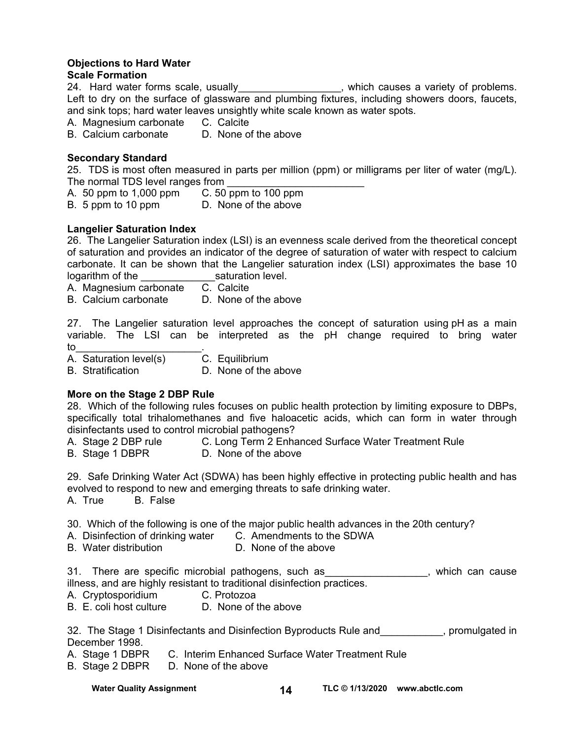## **Objections to Hard Water**

## **Scale Formation**

24. Hard water forms scale, usually\_\_\_\_\_\_\_\_\_\_\_\_\_\_\_\_\_, which causes a variety of problems. Left to dry on the surface of glassware and plumbing fixtures, including showers doors, faucets, and sink tops; hard water leaves unsightly white scale known as water spots.

A. Magnesium carbonate C. Calcite

B. Calcium carbonate D. None of the above

## **Secondary Standard**

25. TDS is most often measured in parts per million (ppm) or milligrams per liter of water (mg/L). The normal TDS level ranges from

- A. 50 ppm to 1,000 ppm C. 50 ppm to 100 ppm
- B. 5 ppm to 10 ppm D. None of the above

## **Langelier Saturation Index**

26. The Langelier Saturation index (LSI) is an evenness scale derived from the theoretical concept of saturation and provides an indicator of the degree of saturation of water with respect to calcium carbonate. It can be shown that the Langelier saturation index (LSI) approximates the base 10 logarithm of the saturation level.

A. Magnesium carbonate C. Calcite

B. Calcium carbonate D. None of the above

27. The Langelier saturation level approaches the concept of saturation using pH as a main variable. The LSI can be interpreted as the pH change required to bring water to the set of  $\sim$  . The set of  $\sim$   $\sim$ 

A. Saturation level(s) C. Equilibrium

B. Stratification **D. None of the above** 

## **More on the Stage 2 DBP Rule**

28. Which of the following rules focuses on public health protection by limiting exposure to DBPs, specifically total trihalomethanes and five haloacetic acids, which can form in water through disinfectants used to control microbial pathogens?

- A. Stage 2 DBP rule C. Long Term 2 Enhanced Surface Water Treatment Rule
- B. Stage 1 DBPR D. None of the above

29. Safe Drinking Water Act (SDWA) has been highly effective in protecting public health and has evolved to respond to new and emerging threats to safe drinking water.

A. True B. False

30. Which of the following is one of the major public health advances in the 20th century?

- A. Disinfection of drinking water C. Amendments to the SDWA
- B. Water distribution D. None of the above

31. There are specific microbial pathogens, such as \_\_\_\_\_\_\_\_\_\_\_\_\_\_\_\_, which can cause illness, and are highly resistant to traditional disinfection practices.

- A. Cryptosporidium C. Protozoa
- B. E. coli host culture D. None of the above

32. The Stage 1 Disinfectants and Disinfection Byproducts Rule and \_\_\_\_\_\_\_\_\_, promulgated in December 1998.

- A. Stage 1 DBPR C. Interim Enhanced Surface Water Treatment Rule
- B. Stage 2 DBPR D. None of the above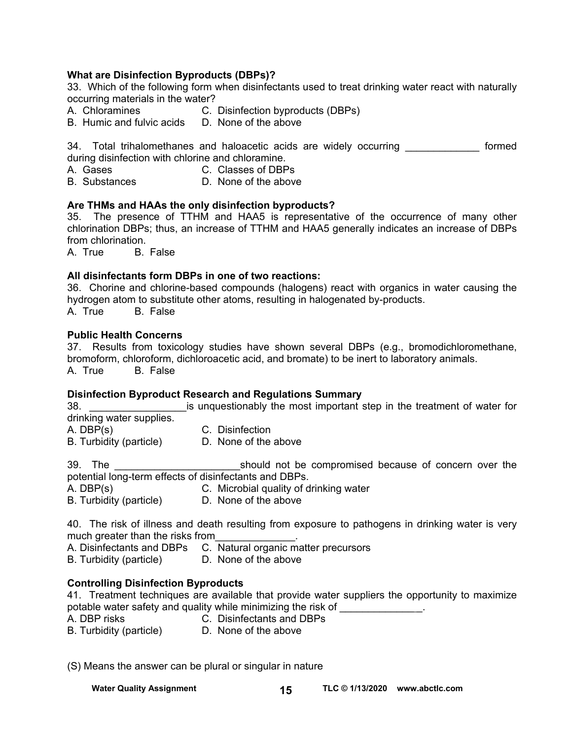## **What are Disinfection Byproducts (DBPs)?**

33. Which of the following form when disinfectants used to treat drinking water react with naturally occurring materials in the water?

- A. Chloramines C. Disinfection byproducts (DBPs)
- B. Humic and fulvic acids D. None of the above

34. Total trihalomethanes and haloacetic acids are widely occurring \_\_\_\_\_\_\_\_\_\_\_\_\_ formed during disinfection with chlorine and chloramine.<br>A. Gases compared C. Classes of DBP

- C. Classes of DBPs
- B. Substances D. None of the above

#### **Are THMs and HAAs the only disinfection byproducts?**

35. The presence of TTHM and HAA5 is representative of the occurrence of many other chlorination DBPs; thus, an increase of TTHM and HAA5 generally indicates an increase of DBPs from chlorination.

A. True B. False

#### **All disinfectants form DBPs in one of two reactions:**

36. Chorine and chlorine-based compounds (halogens) react with organics in water causing the hydrogen atom to substitute other atoms, resulting in halogenated by-products. A. True B. False

#### **Public Health Concerns**

37. Results from toxicology studies have shown several DBPs (e.g., bromodichloromethane, bromoform, chloroform, dichloroacetic acid, and bromate) to be inert to laboratory animals. A. True B. False

#### **Disinfection Byproduct Research and Regulations Summary**

38. **Example 38. Example 15 is unquestionably the most important step in the treatment of water for** drinking water supplies. A. DBP(s) C. Disinfection B. Turbidity (particle) D. None of the above

39. The **Example 2018** Should not be compromised because of concern over the potential long-term effects of disinfectants and DBPs. A. DBP(s) C. Microbial quality of drinking water

B. Turbidity (particle) D. None of the above

40. The risk of illness and death resulting from exposure to pathogens in drinking water is very much greater than the risks from

A. Disinfectants and DBPs C. Natural organic matter precursors

B. Turbidity (particle) D. None of the above

## **Controlling Disinfection Byproducts**

41. Treatment techniques are available that provide water suppliers the opportunity to maximize potable water safety and quality while minimizing the risk of \_\_\_\_\_\_\_\_\_\_\_\_\_\_\_\_\_.

A. DBP risks C. Disinfectants and DBPs

B. Turbidity (particle) D. None of the above

(S) Means the answer can be plural or singular in nature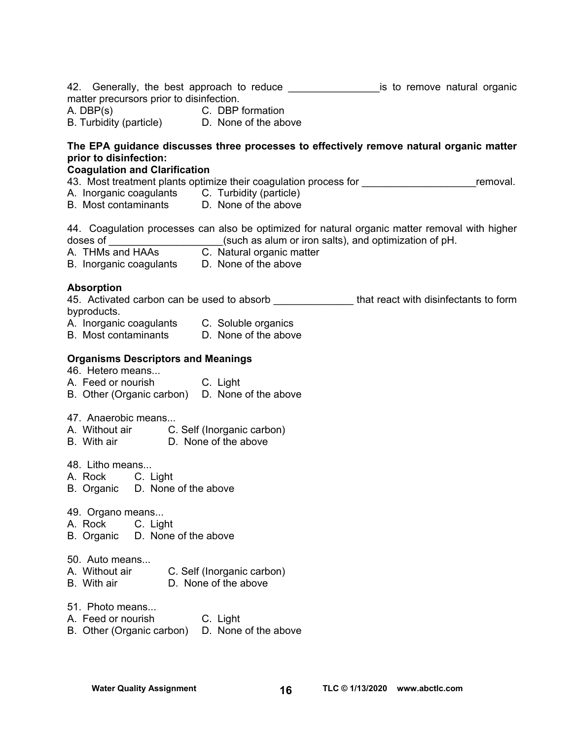| matter precursors prior to disinfection.<br>A. DBP(s) C. DBP formation<br>B. Turbidity (particle) D. None of the above                         | 42. Generally, the best approach to reduce _____________________is to remove natural organic    |          |
|------------------------------------------------------------------------------------------------------------------------------------------------|-------------------------------------------------------------------------------------------------|----------|
| prior to disinfection:<br><b>Coagulation and Clarification</b>                                                                                 | The EPA guidance discusses three processes to effectively remove natural organic matter         |          |
| A. Inorganic coagulants C. Turbidity (particle)<br>B. Most contaminants D. None of the above                                                   | 43. Most treatment plants optimize their coagulation process for _______________                | removal. |
|                                                                                                                                                | 44. Coagulation processes can also be optimized for natural organic matter removal with higher  |          |
| <b>Absorption</b><br>byproducts.<br>A. Inorganic coagulants C. Soluble organics<br>B. Most contaminants D. None of the above                   | 45. Activated carbon can be used to absorb _______________that react with disinfectants to form |          |
| <b>Organisms Descriptors and Meanings</b><br>46. Hetero means<br>A. Feed or nourish C. Light<br>B. Other (Organic carbon) D. None of the above |                                                                                                 |          |
| 47. Anaerobic means<br>A. Without air C. Self (Inorganic carbon)<br>B. With air D. None of the above                                           |                                                                                                 |          |
| 48. Litho means<br>A. Rock C. Light<br>B. Organic D. None of the above                                                                         |                                                                                                 |          |
| 49. Organo means<br>A. Rock<br>C. Light<br>D. None of the above<br>B. Organic                                                                  |                                                                                                 |          |
| 50. Auto means<br>A. Without air<br>B. With air                                                                                                | C. Self (Inorganic carbon)<br>D. None of the above                                              |          |
| 51. Photo means<br>A. Feed or nourish<br>B. Other (Organic carbon)                                                                             | C. Light<br>D. None of the above                                                                |          |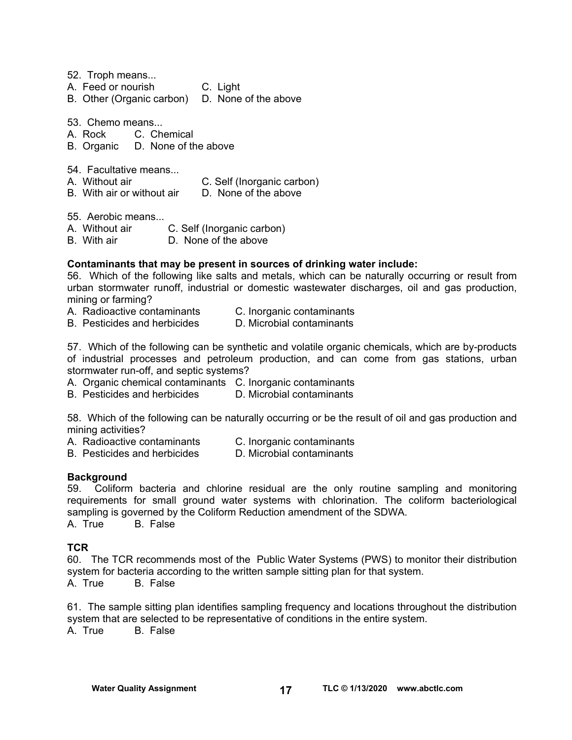52. Troph means...

- A. Feed or nourish C. Light
- B. Other (Organic carbon) D. None of the above

53. Chemo means...

A. Rock C. Chemical

- B. Organic D. None of the above
- 54. Facultative means...
- A. Without air C. Self (Inorganic carbon)
- B. With air or without air D. None of the above

55. Aerobic means...

- A. Without air C. Self (Inorganic carbon)
- B. With air **D. None of the above**

#### **Contaminants that may be present in sources of drinking water include:**

56. Which of the following like salts and metals, which can be naturally occurring or result from urban stormwater runoff, industrial or domestic wastewater discharges, oil and gas production, mining or farming?

- A. Radioactive contaminants C. Inorganic contaminants
- B. Pesticides and herbicides D. Microbial contaminants

57. Which of the following can be synthetic and volatile organic chemicals, which are by-products of industrial processes and petroleum production, and can come from gas stations, urban stormwater run-off, and septic systems?

- A. Organic chemical contaminants C. Inorganic contaminants
- B. Pesticides and herbicides D. Microbial contaminants

58. Which of the following can be naturally occurring or be the result of oil and gas production and mining activities?

- A. Radioactive contaminants C. Inorganic contaminants
- B. Pesticides and herbicides D. Microbial contaminants

#### **Background**

59. Coliform bacteria and chlorine residual are the only routine sampling and monitoring requirements for small ground water systems with chlorination. The coliform bacteriological sampling is governed by the Coliform Reduction amendment of the SDWA. A. True B. False

## **TCR**

60. The TCR recommends most of the Public Water Systems (PWS) to monitor their distribution system for bacteria according to the written sample sitting plan for that system. A. True B. False

61. The sample sitting plan identifies sampling frequency and locations throughout the distribution system that are selected to be representative of conditions in the entire system.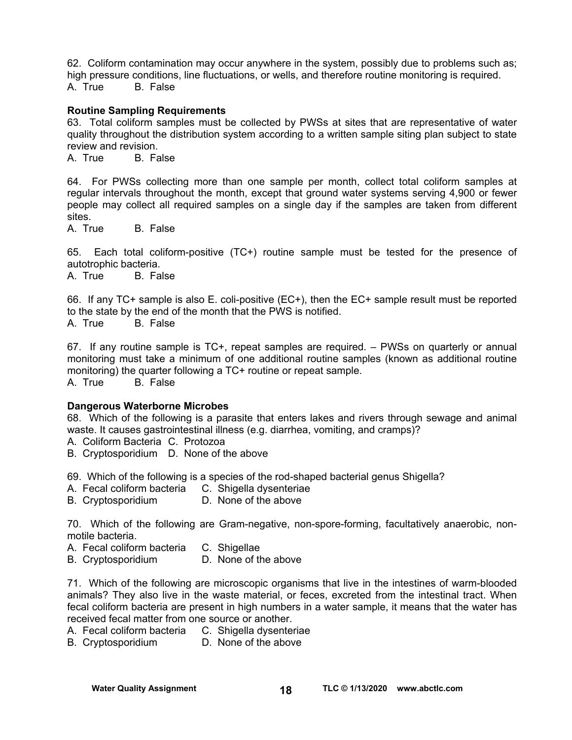62. Coliform contamination may occur anywhere in the system, possibly due to problems such as; high pressure conditions, line fluctuations, or wells, and therefore routine monitoring is required. A. True B. False

#### **Routine Sampling Requirements**

63. Total coliform samples must be collected by PWSs at sites that are representative of water quality throughout the distribution system according to a written sample siting plan subject to state review and revision.

A. True B. False

64. For PWSs collecting more than one sample per month, collect total coliform samples at regular intervals throughout the month, except that ground water systems serving 4,900 or fewer people may collect all required samples on a single day if the samples are taken from different sites.

A. True B. False

65. Each total coliform-positive (TC+) routine sample must be tested for the presence of autotrophic bacteria.

A. True B. False

66. If any TC+ sample is also E. coli-positive (EC+), then the EC+ sample result must be reported to the state by the end of the month that the PWS is notified. A. True B. False

67. If any routine sample is TC+, repeat samples are required. – PWSs on quarterly or annual monitoring must take a minimum of one additional routine samples (known as additional routine monitoring) the quarter following a TC+ routine or repeat sample.

A. True B. False

#### **Dangerous Waterborne Microbes**

68. Which of the following is a parasite that enters lakes and rivers through sewage and animal waste. It causes gastrointestinal illness (e.g. diarrhea, vomiting, and cramps)?

A. Coliform Bacteria C. Protozoa

B. Cryptosporidium D. None of the above

69. Which of the following is a species of the rod-shaped bacterial genus Shigella?

- A. Fecal coliform bacteria C. Shigella dysenteriae
- B. Cryptosporidium D. None of the above

70. Which of the following are Gram-negative, non-spore-forming, facultatively anaerobic, nonmotile bacteria.

- A. Fecal coliform bacteria C. Shigellae
- B. Cryptosporidium D. None of the above

71. Which of the following are microscopic organisms that live in the intestines of warm-blooded animals? They also live in the waste material, or feces, excreted from the intestinal tract. When fecal coliform bacteria are present in high numbers in a water sample, it means that the water has received fecal matter from one source or another.

- A. Fecal coliform bacteria C. Shigella dysenteriae
- B. Cryptosporidium D. None of the above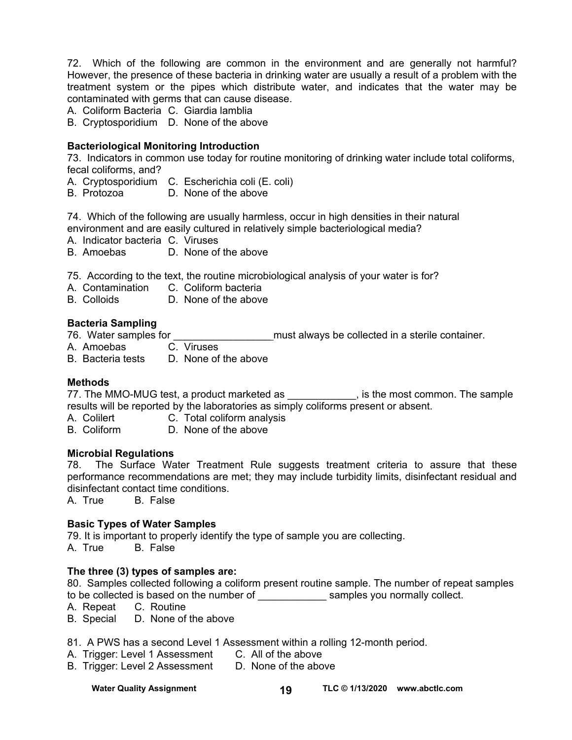72. Which of the following are common in the environment and are generally not harmful? However, the presence of these bacteria in drinking water are usually a result of a problem with the treatment system or the pipes which distribute water, and indicates that the water may be contaminated with germs that can cause disease.

A. Coliform Bacteria C. Giardia lamblia

B. Cryptosporidium D. None of the above

### **Bacteriological Monitoring Introduction**

73. Indicators in common use today for routine monitoring of drinking water include total coliforms, fecal coliforms, and?

- A. Cryptosporidium C. Escherichia coli (E. coli)
- B. Protozoa D. None of the above

74. Which of the following are usually harmless, occur in high densities in their natural

environment and are easily cultured in relatively simple bacteriological media?

A. Indicator bacteria C. Viruses

B. Amoebas D. None of the above

75. According to the text, the routine microbiological analysis of your water is for?

A. Contamination C. Coliform bacteria

B. Colloids D. None of the above

#### **Bacteria Sampling**

76. Water samples for \_\_\_\_\_\_\_\_\_\_\_\_\_\_\_\_\_ must always be collected in a sterile container.

A. Amoebas C. Viruses

B. Bacteria tests D. None of the above

#### **Methods**

77. The MMO-MUG test, a product marketed as \_\_\_\_\_\_\_\_\_\_\_\_, is the most common. The sample results will be reported by the laboratories as simply coliforms present or absent.

A. Colilert C. Total coliform analysis<br>
B. Coliform B. None of the above

D. None of the above

## **Microbial Regulations**

78. The Surface Water Treatment Rule suggests treatment criteria to assure that these performance recommendations are met; they may include turbidity limits, disinfectant residual and disinfectant contact time conditions.

A. True B. False

## **Basic Types of Water Samples**

79. It is important to properly identify the type of sample you are collecting.

A. True B. False

## **The three (3) types of samples are:**

80. Samples collected following a coliform present routine sample. The number of repeat samples to be collected is based on the number of election of the samples you normally collect.

A. Repeat C. Routine

B. Special D. None of the above

81. A PWS has a second Level 1 Assessment within a rolling 12-month period.

- A. Trigger: Level 1 Assessment C. All of the above
- B. Trigger: Level 2 Assessment D. None of the above

Water Quality Assignment **TLC © 1/13/2020** www.abctlc.com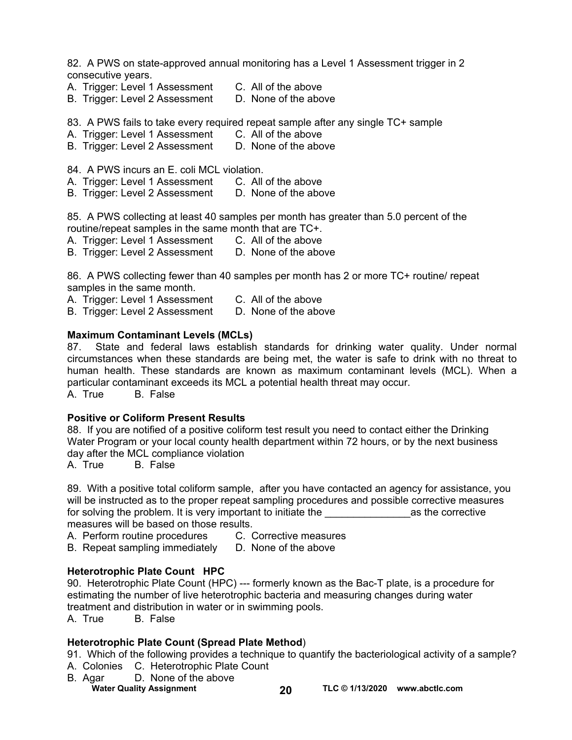82. A PWS on state-approved annual monitoring has a Level 1 Assessment trigger in 2 consecutive years.

- A. Trigger: Level 1 Assessment C. All of the above
- B. Trigger: Level 2 Assessment D. None of the above

83. A PWS fails to take every required repeat sample after any single TC+ sample

- A. Trigger: Level 1 Assessment C. All of the above
- B. Trigger: Level 2 Assessment D. None of the above
- 84. A PWS incurs an E. coli MCL violation.
- A. Trigger: Level 1 Assessment C. All of the above
- B. Trigger: Level 2 Assessment D. None of the above

85. A PWS collecting at least 40 samples per month has greater than 5.0 percent of the routine/repeat samples in the same month that are TC+.

- A. Trigger: Level 1 Assessment C. All of the above
- B. Trigger: Level 2 Assessment D. None of the above

86. A PWS collecting fewer than 40 samples per month has 2 or more TC+ routine/ repeat samples in the same month.

- A. Trigger: Level 1 Assessment C. All of the above
- B. Trigger: Level 2 Assessment D. None of the above

#### **Maximum Contaminant Levels (MCLs)**

87. State and federal laws establish standards for drinking water quality. Under normal circumstances when these standards are being met, the water is safe to drink with no threat to human health. These standards are known as maximum contaminant levels (MCL). When a particular contaminant exceeds its MCL a potential health threat may occur.

A. True B. False

#### **Positive or Coliform Present Results**

88. If you are notified of a positive coliform test result you need to contact either the Drinking Water Program or your local county health department within 72 hours, or by the next business day after the MCL compliance violation

A. True B. False

89. With a positive total coliform sample, after you have contacted an agency for assistance, you will be instructed as to the proper repeat sampling procedures and possible corrective measures for solving the problem. It is very important to initiate the example of the corrective measures will be based on those results.

- A. Perform routine procedures C. Corrective measures
- B. Repeat sampling immediately D. None of the above

## **Heterotrophic Plate Count HPC**

90. Heterotrophic Plate Count (HPC) --- formerly known as the Bac-T plate, is a procedure for estimating the number of live heterotrophic bacteria and measuring changes during water treatment and distribution in water or in swimming pools.

A. True B. False

## **Heterotrophic Plate Count (Spread Plate Method**)

91. Which of the following provides a technique to quantify the bacteriological activity of a sample?

- A. Colonies C. Heterotrophic Plate Count
- **Water Quality Assignment** 20 TLC © 1/13/2020 www.abctlc.com B. Agar D. None of the above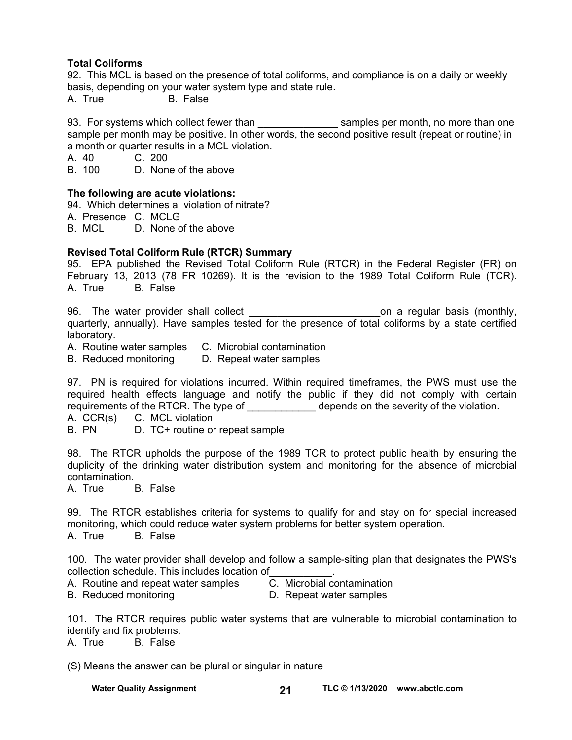## **Total Coliforms**

92. This MCL is based on the presence of total coliforms, and compliance is on a daily or weekly basis, depending on your water system type and state rule.

A. True B. False

93. For systems which collect fewer than \_\_\_\_\_\_\_\_\_\_\_\_\_\_\_\_\_\_\_\_ samples per month, no more than one sample per month may be positive. In other words, the second positive result (repeat or routine) in a month or quarter results in a MCL violation.

A. 40 C. 200<br>B. 100 D. Non

D. None of the above

#### **The following are acute violations:**

94. Which determines a violation of nitrate?

A. Presence C. MCLG

B. MCL D. None of the above

## **Revised Total Coliform Rule (RTCR) Summary**

95. EPA published the Revised Total Coliform Rule (RTCR) in the Federal Register (FR) on February 13, 2013 (78 FR 10269). It is the revision to the 1989 Total Coliform Rule (TCR). A. True B. False

96. The water provider shall collect \_\_\_\_\_\_\_\_\_\_\_\_\_\_\_\_\_\_\_\_\_\_\_on a regular basis (monthly, quarterly, annually). Have samples tested for the presence of total coliforms by a state certified laboratory.

A. Routine water samples C. Microbial contamination

B. Reduced monitoring D. Repeat water samples

97. PN is required for violations incurred. Within required timeframes, the PWS must use the required health effects language and notify the public if they did not comply with certain requirements of the RTCR. The type of depends on the severity of the violation.

- A. CCR(s) C. MCL violation
- B. PN D. TC+ routine or repeat sample

98. The RTCR upholds the purpose of the 1989 TCR to protect public health by ensuring the duplicity of the drinking water distribution system and monitoring for the absence of microbial contamination.

A. True B. False

99. The RTCR establishes criteria for systems to qualify for and stay on for special increased monitoring, which could reduce water system problems for better system operation. A. True B. False

100. The water provider shall develop and follow a sample-siting plan that designates the PWS's collection schedule. This includes location of\_\_\_\_\_\_\_\_\_\_\_.

A. Routine and repeat water samples C. Microbial contamination

B. Reduced monitoring D. Repeat water samples

101. The RTCR requires public water systems that are vulnerable to microbial contamination to identify and fix problems.

A. True B. False

(S) Means the answer can be plural or singular in nature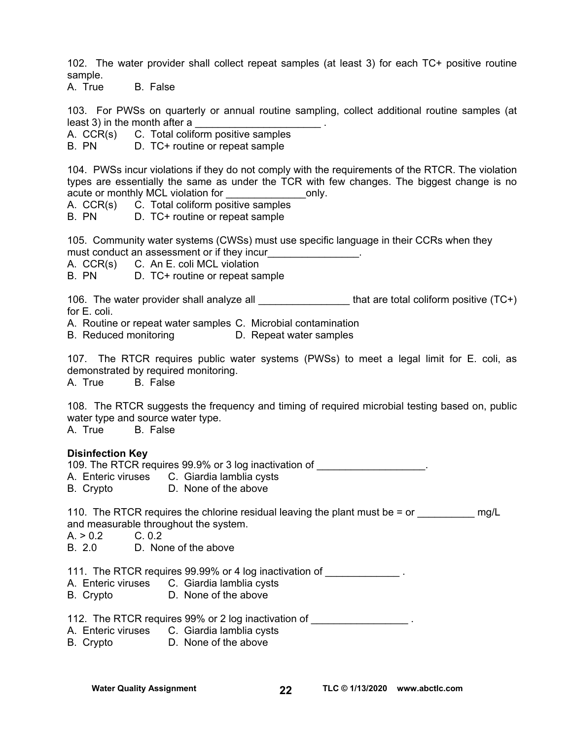102. The water provider shall collect repeat samples (at least 3) for each TC+ positive routine sample.

A. True B. False

103. For PWSs on quarterly or annual routine sampling, collect additional routine samples (at least 3) in the month after a

A. CCR(s) C. Total coliform positive samples

B. PN D. TC+ routine or repeat sample

104. PWSs incur violations if they do not comply with the requirements of the RTCR. The violation types are essentially the same as under the TCR with few changes. The biggest change is no acute or monthly MCL violation for **Example 20** conly.

A. CCR(s) C. Total coliform positive samples

B. PN D. TC+ routine or repeat sample

105. Community water systems (CWSs) must use specific language in their CCRs when they must conduct an assessment or if they incur

A. CCR(s) C. An E. coli MCL violation

B. PN D. TC+ routine or repeat sample

106. The water provider shall analyze all \_\_\_\_\_\_\_\_\_\_\_\_\_\_\_\_\_\_\_\_\_that are total coliform positive (TC+) for E. coli.

A. Routine or repeat water samples C. Microbial contamination

B. Reduced monitoring D. Repeat water samples

107. The RTCR requires public water systems (PWSs) to meet a legal limit for E. coli, as demonstrated by required monitoring.

A. True B. False

108. The RTCR suggests the frequency and timing of required microbial testing based on, public water type and source water type.

A. True B. False

#### **Disinfection Key**

109. The RTCR requires 99.9% or 3 log inactivation of

- A. Enteric viruses C. Giardia lamblia cysts
- B. Crypto D. None of the above

110. The RTCR requires the chlorine residual leaving the plant must be  $=$  or  $\qquad \qquad$  mg/L and measurable throughout the system.

 $A. > 0.2$  C. 0.2

B. 2.0 D. None of the above

111. The RTCR requires 99.99% or 4 log inactivation of

- A. Enteric viruses C. Giardia lamblia cysts
- B. Crypto D. None of the above

112. The RTCR requires 99% or 2 log inactivation of

- A. Enteric viruses C. Giardia lamblia cysts
- B. Crypto D. None of the above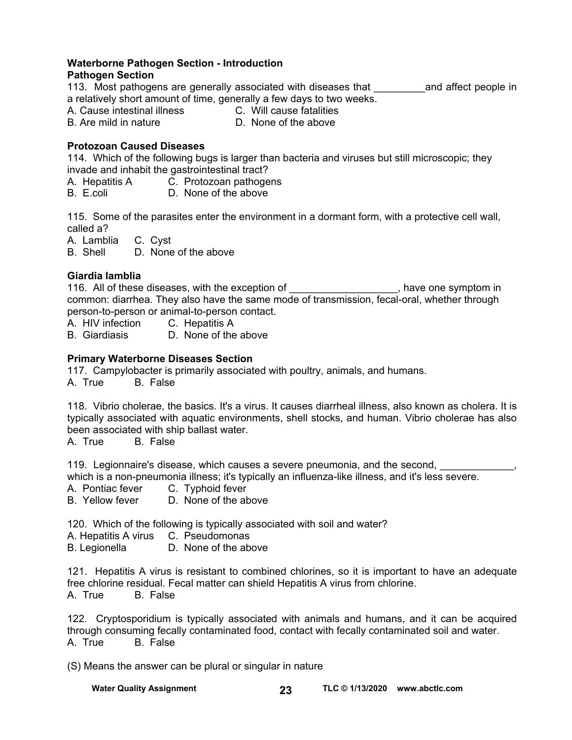# **Waterborne Pathogen Section - Introduction**

# **Pathogen Section**

113. Most pathogens are generally associated with diseases that Theoral and affect people in a relatively short amount of time, generally a few days to two weeks.<br>A. Cause intestinal illness **C.** Will cause fatalities

A. Cause intestinal illness

B. Are mild in nature D. None of the above

# **Protozoan Caused Diseases**

114. Which of the following bugs is larger than bacteria and viruses but still microscopic; they invade and inhabit the gastrointestinal tract?

- A. Hepatitis A C. Protozoan pathogens
- B. E.coli D. None of the above

115. Some of the parasites enter the environment in a dormant form, with a protective cell wall, called a?

A. Lamblia C. Cyst

B. Shell D. None of the above

# **Giardia lamblia**

116. All of these diseases, with the exception of the state one symptom in common: diarrhea. They also have the same mode of transmission, fecal-oral, whether through person-to-person or animal-to-person contact.

- A. HIV infection C. Hepatitis A<br>B. Giardiasis D. None of the
- D. None of the above

# **Primary Waterborne Diseases Section**

117. Campylobacter is primarily associated with poultry, animals, and humans.

A. True B. False

118. Vibrio cholerae, the basics. It's a virus. It causes diarrheal illness, also known as cholera. It is typically associated with aquatic environments, shell stocks, and human. Vibrio cholerae has also been associated with ship ballast water.

A. True B. False

119. Legionnaire's disease, which causes a severe pneumonia, and the second,

which is a non-pneumonia illness; it's typically an influenza-like illness, and it's less severe.

A. Pontiac fever C. Typhoid fever

B. Yellow fever D. None of the above

120. Which of the following is typically associated with soil and water?

- A. Hepatitis A virus C. Pseudomonas
- B. Legionella D. None of the above

121. Hepatitis A virus is resistant to combined chlorines, so it is important to have an adequate free chlorine residual. Fecal matter can shield Hepatitis A virus from chlorine. A. True B. False

122. Cryptosporidium is typically associated with animals and humans, and it can be acquired through consuming fecally contaminated food, contact with fecally contaminated soil and water. A. True B. False

(S) Means the answer can be plural or singular in nature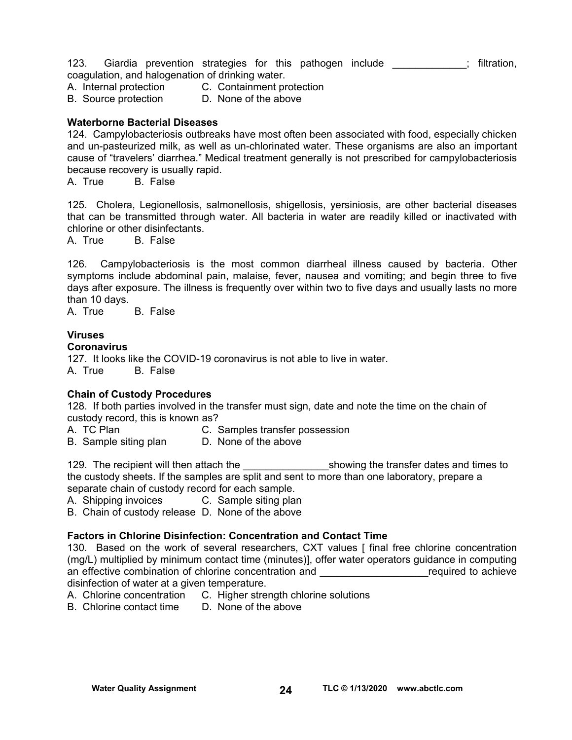123. Giardia prevention strategies for this pathogen include \_\_\_\_\_\_\_\_\_\_\_; filtration, coagulation, and halogenation of drinking water.

A. Internal protection C. Containment protection

B. Source protection D. None of the above

#### **Waterborne Bacterial Diseases**

124. Campylobacteriosis outbreaks have most often been associated with food, especially chicken and un-pasteurized milk, as well as un-chlorinated water. These organisms are also an important cause of "travelers' diarrhea." Medical treatment generally is not prescribed for campylobacteriosis because recovery is usually rapid.

A. True B. False

125. Cholera, Legionellosis, salmonellosis, shigellosis, yersiniosis, are other bacterial diseases that can be transmitted through water. All bacteria in water are readily killed or inactivated with chlorine or other disinfectants.

A. True B. False

126. Campylobacteriosis is the most common diarrheal illness caused by bacteria. Other symptoms include abdominal pain, malaise, fever, nausea and vomiting; and begin three to five days after exposure. The illness is frequently over within two to five days and usually lasts no more than 10 days.

A. True B. False

## **Viruses**

## **Coronavirus**

127. It looks like the COVID-19 coronavirus is not able to live in water. A. True B. False

## **Chain of Custody Procedures**

128. If both parties involved in the transfer must sign, date and note the time on the chain of custody record, this is known as?

- A. TC Plan C. Samples transfer possession
- B. Sample siting plan D. None of the above

129. The recipient will then attach the transfer dates and times to the custody sheets. If the samples are split and sent to more than one laboratory, prepare a separate chain of custody record for each sample.

A. Shipping invoices C. Sample siting plan

B. Chain of custody release D. None of the above

## **Factors in Chlorine Disinfection: Concentration and Contact Time**

130. Based on the work of several researchers, CXT values [ final free chlorine concentration (mg/L) multiplied by minimum contact time (minutes)], offer water operators guidance in computing an effective combination of chlorine concentration and **Example 20** achieve disinfection of water at a given temperature.

- A. Chlorine concentration C. Higher strength chlorine solutions<br>B. Chlorine contact time D. None of the above
- B. Chlorine contact time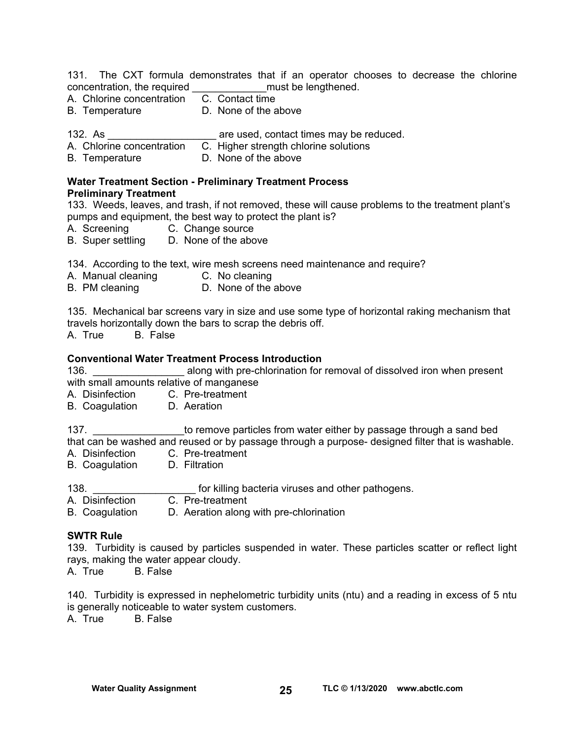131. The CXT formula demonstrates that if an operator chooses to decrease the chlorine concentration, the required \_\_\_\_\_\_\_\_\_\_\_\_\_must be lengthened.

- A. Chlorine concentration
- B. Temperature D. None of the above

132. As **are used, contact times may be reduced.** 

- A. Chlorine concentration C. Higher strength chlorine solutions
- B. Temperature **D.** None of the above

### **Water Treatment Section - Preliminary Treatment Process Preliminary Treatment**

133. Weeds, leaves, and trash, if not removed, these will cause problems to the treatment plant's pumps and equipment, the best way to protect the plant is?

- A. Screening C. Change source
- B. Super settling D. None of the above

134. According to the text, wire mesh screens need maintenance and require?

- A. Manual cleaning C. No cleaning
- B. PM cleaning D. None of the above

135. Mechanical bar screens vary in size and use some type of horizontal raking mechanism that travels horizontally down the bars to scrap the debris off.

A. True B. False

## **Conventional Water Treatment Process Introduction**

136. **136. Example 20** along with pre-chlorination for removal of dissolved iron when present with small amounts relative of manganese

A. Disinfection C. Pre-treatment

B. Coagulation D. Aeration

137. **Example 137.** The remove particles from water either by passage through a sand bed that can be washed and reused or by passage through a purpose- designed filter that is washable.

- A. Disinfection C. Pre-treatment
- B. Coagulation D. Filtration
- 138. **Example 138. 138. 138. 138. 138. 138. 138. 138. 138. 138. 138. 138. 138. 138. 138. 138. 138. 138. 138. 138. 138. 138. 138. 138. 138. 138. 138. 138. 138. 138.**
- A. Disinfection C. Pre-treatment
- B. Coagulation D. Aeration along with pre-chlorination

#### **SWTR Rule**

139. Turbidity is caused by particles suspended in water. These particles scatter or reflect light rays, making the water appear cloudy.

A. True B. False

140. Turbidity is expressed in nephelometric turbidity units (ntu) and a reading in excess of 5 ntu is generally noticeable to water system customers.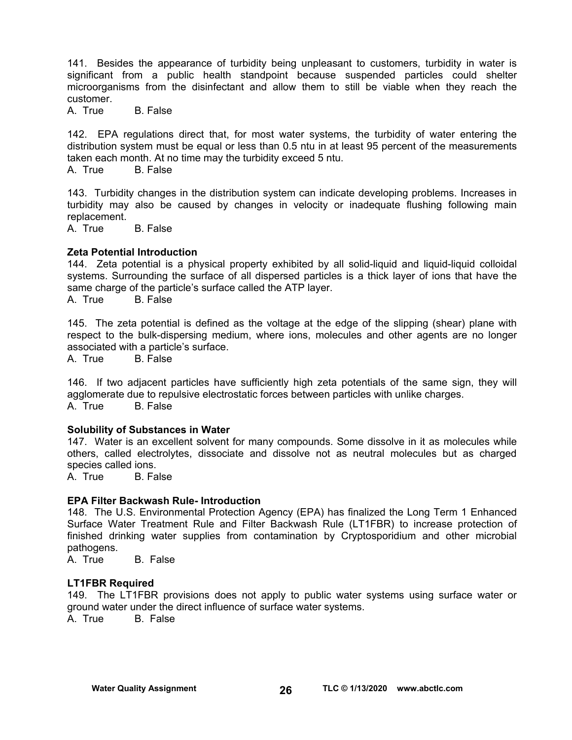141. Besides the appearance of turbidity being unpleasant to customers, turbidity in water is significant from a public health standpoint because suspended particles could shelter microorganisms from the disinfectant and allow them to still be viable when they reach the customer.

A. True B. False

142. EPA regulations direct that, for most water systems, the turbidity of water entering the distribution system must be equal or less than 0.5 ntu in at least 95 percent of the measurements taken each month. At no time may the turbidity exceed 5 ntu.<br>A. True B. False

A. True

143. Turbidity changes in the distribution system can indicate developing problems. Increases in turbidity may also be caused by changes in velocity or inadequate flushing following main replacement.

A. True B. False

#### **Zeta Potential Introduction**

144. Zeta potential is a physical property exhibited by all solid-liquid and liquid-liquid colloidal systems. Surrounding the surface of all dispersed particles is a thick layer of ions that have the same charge of the particle's surface called the ATP layer.

A. True B. False

145. The zeta potential is defined as the voltage at the edge of the slipping (shear) plane with respect to the bulk-dispersing medium, where ions, molecules and other agents are no longer associated with a particle's surface.

A. True B. False

146. If two adjacent particles have sufficiently high zeta potentials of the same sign, they will agglomerate due to repulsive electrostatic forces between particles with unlike charges. A. True B. False

#### **Solubility of Substances in Water**

147. Water is an excellent solvent for many compounds. Some dissolve in it as molecules while others, called electrolytes, dissociate and dissolve not as neutral molecules but as charged species called ions.

A. True B. False

#### **EPA Filter Backwash Rule- Introduction**

148. The U.S. Environmental Protection Agency (EPA) has finalized the Long Term 1 Enhanced Surface Water Treatment Rule and Filter Backwash Rule (LT1FBR) to increase protection of finished drinking water supplies from contamination by Cryptosporidium and other microbial pathogens.

A. True B. False

#### **LT1FBR Required**

149. The LT1FBR provisions does not apply to public water systems using surface water or ground water under the direct influence of surface water systems.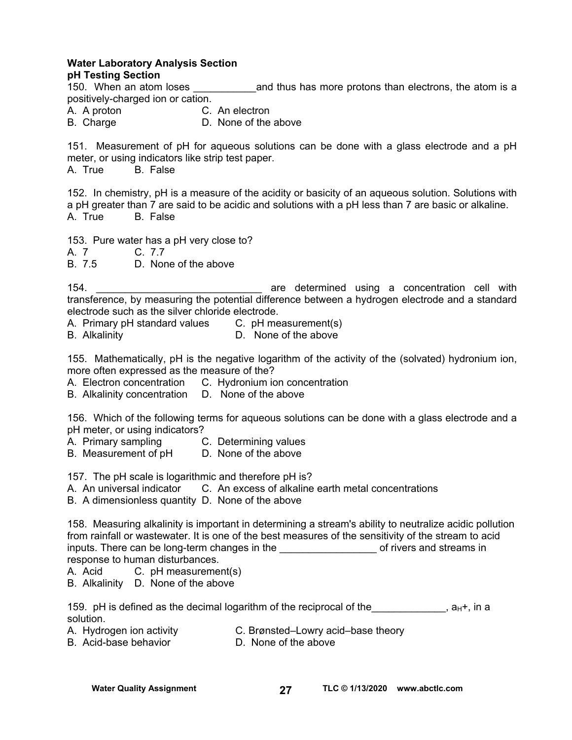#### **Water Laboratory Analysis Section pH Testing Section**

150. When an atom loses **the same is and thus has more protons than electrons**, the atom is a positively-charged ion or cation.

A. A proton C. An electron

- 
- B. Charge D. None of the above

151. Measurement of pH for aqueous solutions can be done with a glass electrode and a pH meter, or using indicators like strip test paper.<br>A. True B. False

B. False

152. In chemistry, pH is a measure of the acidity or basicity of an aqueous solution. Solutions with a pH greater than 7 are said to be acidic and solutions with a pH less than 7 are basic or alkaline. A. True B. False

153. Pure water has a pH very close to?

A. 7 C. 7.7

B. 7.5 D. None of the above

154. \_\_\_\_\_\_\_\_\_\_\_\_\_\_\_\_\_\_\_\_\_\_\_\_\_\_\_\_\_ are determined using a concentration cell with transference, by measuring the potential difference between a hydrogen electrode and a standard electrode such as the silver chloride electrode.

A. Primary pH standard values C. pH measurement(s)

B. Alkalinity D. None of the above

155. Mathematically, pH is the negative logarithm of the activity of the (solvated) hydronium ion, more often expressed as the measure of the?

A. Electron concentration C. Hydronium ion concentration

B. Alkalinity concentration D. None of the above

156. Which of the following terms for aqueous solutions can be done with a glass electrode and a pH meter, or using indicators?

- A. Primary sampling C. Determining values
- B. Measurement of pH D. None of the above

157. The pH scale is logarithmic and therefore pH is?

A. An universal indicator C. An excess of alkaline earth metal concentrations

B. A dimensionless quantity D. None of the above

158. Measuring alkalinity is important in determining a stream's ability to neutralize acidic pollution from rainfall or wastewater. It is one of the best measures of the sensitivity of the stream to acid inputs. There can be long-term changes in the **we are all assets and streams** in response to human disturbances.

A. Acid C. pH measurement(s)

B. Alkalinity D. None of the above

|           | 159. pH is defined as the decimal logarithm of the reciprocal of the |  |  | , a <sub>H</sub> +, in a |
|-----------|----------------------------------------------------------------------|--|--|--------------------------|
| solution. |                                                                      |  |  |                          |

- A. Hydrogen ion activity C. Brønsted–Lowry acid–base theory
- B. Acid-base behavior **D. None of the above**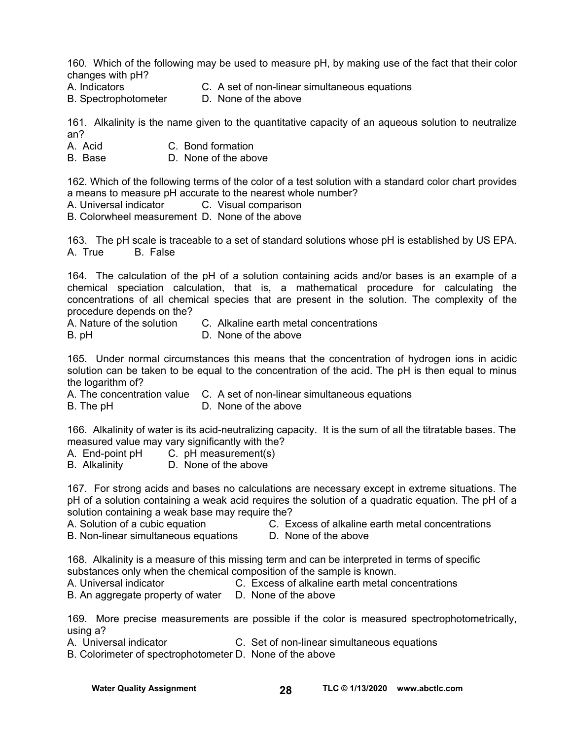160. Which of the following may be used to measure pH, by making use of the fact that their color changes with pH?

- A. Indicators C. A set of non-linear simultaneous equations
- B. SpectrophotometerD. None of the above

161. Alkalinity is the name given to the quantitative capacity of an aqueous solution to neutralize an?

- A. Acid C. Bond formation
- B. Base D. None of the above

162. Which of the following terms of the color of a test solution with a standard color chart provides a means to measure pH accurate to the nearest whole number?

A. Universal indicator C. Visual comparison

B. Colorwheel measurement D. None of the above

163. The pH scale is traceable to a set of standard solutions whose pH is established by US EPA. A. True B. False

164. The calculation of the pH of a solution containing acids and/or bases is an example of a chemical speciation calculation, that is, a mathematical procedure for calculating the concentrations of all chemical species that are present in the solution. The complexity of the procedure depends on the?

A. Nature of the solution C. Alkaline earth metal concentrations

B. pH **D. None of the above** 

165. Under normal circumstances this means that the concentration of hydrogen ions in acidic solution can be taken to be equal to the concentration of the acid. The pH is then equal to minus the logarithm of?

A. The concentration value C. A set of non-linear simultaneous equations B. The pH **D. None of the above** 

166. Alkalinity of water is its acid-neutralizing capacity. It is the sum of all the titratable bases. The measured value may vary significantly with the?

- A. End-point pH C. pH measurement(s)
- B. Alkalinity D. None of the above

167. For strong acids and bases no calculations are necessary except in extreme situations. The pH of a solution containing a weak acid requires the solution of a quadratic equation. The pH of a solution containing a weak base may require the?

- 
- A. Solution of a cubic equation C. Excess of alkaline earth metal concentrations
- B. Non-linear simultaneous equations D. None of the above
- 

168. Alkalinity is a measure of this missing term and can be interpreted in terms of specific

substances only when the chemical composition of the sample is known.<br>A. Universal indicator **C. Excess of alkaline earth metal component** C. Excess of alkaline earth metal concentrations

B. An aggregate property of water D. None of the above

169. More precise measurements are possible if the color is measured spectrophotometrically, using a?

A. Universal indicator C. Set of non-linear simultaneous equations

B. Colorimeter of spectrophotometer D. None of the above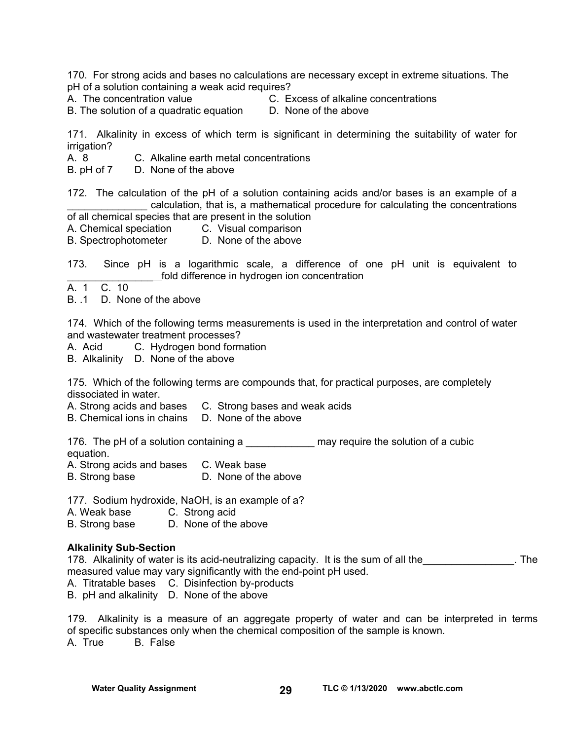170. For strong acids and bases no calculations are necessary except in extreme situations. The pH of a solution containing a weak acid requires?

- A. The concentration value C. Excess of alkaline concentrations
	-

B. The solution of a quadratic equation D. None of the above

171. Alkalinity in excess of which term is significant in determining the suitability of water for irrigation?

A. 8 C. Alkaline earth metal concentrations

B. pH of 7 D. None of the above

172. The calculation of the pH of a solution containing acids and/or bases is an example of a calculation, that is, a mathematical procedure for calculating the concentrations

of all chemical species that are present in the solution

A. Chemical speciation C. Visual comparison

B. Spectrophotometer D. None of the above

173. Since pH is a logarithmic scale, a difference of one pH unit is equivalent to fold difference in hydrogen ion concentration

A. 1 C. 10

B. .1 D. None of the above

174. Which of the following terms measurements is used in the interpretation and control of water and wastewater treatment processes?

A. Acid C. Hydrogen bond formation

B. Alkalinity D. None of the above

175. Which of the following terms are compounds that, for practical purposes, are completely dissociated in water.

A. Strong acids and bases C. Strong bases and weak acids

B. Chemical ions in chains D. None of the above

176. The pH of a solution containing a **Example 20** may require the solution of a cubic equation.

A. Strong acids and bases C. Weak base

B. Strong base D. None of the above

177. Sodium hydroxide, NaOH, is an example of a?

A. Weak base C. Strong acid

B. Strong base D. None of the above

#### **Alkalinity Sub-Section**

178. Alkalinity of water is its acid-neutralizing capacity. It is the sum of all the  $\blacksquare$ measured value may vary significantly with the end-point pH used.

A. Titratable bases C. Disinfection by-products

B. pH and alkalinity D. None of the above

179. Alkalinity is a measure of an aggregate property of water and can be interpreted in terms of specific substances only when the chemical composition of the sample is known. A. True B. False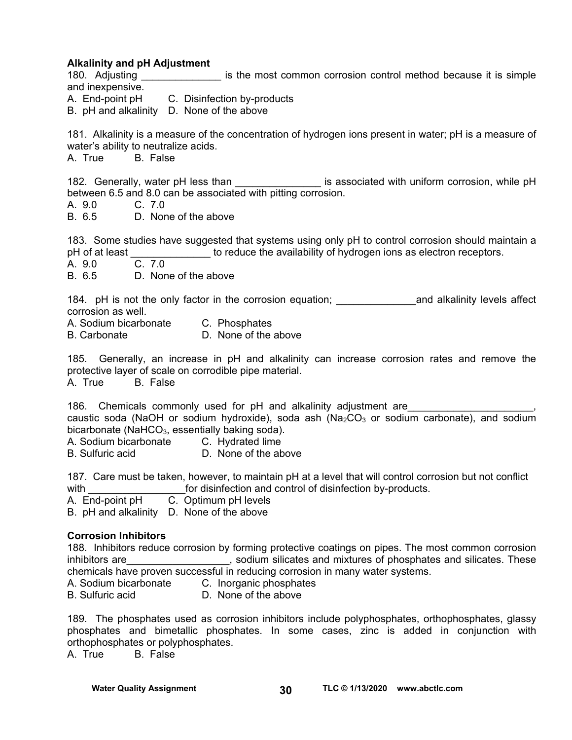#### **Alkalinity and pH Adjustment**

180. Adjusting \_\_\_\_\_\_\_\_\_\_\_\_\_\_\_\_\_ is the most common corrosion control method because it is simple and inexpensive.

A. End-point pH C. Disinfection by-products

B. pH and alkalinity D. None of the above

181. Alkalinity is a measure of the concentration of hydrogen ions present in water; pH is a measure of water's ability to neutralize acids.

A. True B. False

182. Generally, water pH less than \_\_\_\_\_\_\_\_\_\_\_\_\_\_\_\_\_ is associated with uniform corrosion, while pH between 6.5 and 8.0 can be associated with pitting corrosion.

A. 9.0 C. 7.0

B. 6.5 D. None of the above

183. Some studies have suggested that systems using only pH to control corrosion should maintain a pH of at least **the contract example in the availability of hydrogen ions as electron receptors.** 

A. 9.0 C. 7.0

B. 6.5 D. None of the above

184. pH is not the only factor in the corrosion equation; \_\_\_\_\_\_\_\_\_\_\_\_\_\_\_\_\_\_\_\_\_\_\_and alkalinity levels affect corrosion as well.

A. Sodium bicarbonate C. Phosphates

B. Carbonate D. None of the above

185. Generally, an increase in pH and alkalinity can increase corrosion rates and remove the protective layer of scale on corrodible pipe material.

A. True B. False

186. Chemicals commonly used for pH and alkalinity adjustment are caustic soda (NaOH or sodium hydroxide), soda ash (Na<sub>2</sub>CO<sub>3</sub> or sodium carbonate), and sodium bicarbonate (NaHCO $_3$ , essentially baking soda).

A. Sodium bicarbonate C. Hydrated lime

B. Sulfuric acid D. None of the above

187. Care must be taken, however, to maintain pH at a level that will control corrosion but not conflict with **the control of disinfection and control of disinfection by-products.** 

A. End-point pH C. Optimum pH levels

B. pH and alkalinity D. None of the above

#### **Corrosion Inhibitors**

188. Inhibitors reduce corrosion by forming protective coatings on pipes. The most common corrosion inhibitors are\_\_\_\_\_\_\_\_\_\_\_\_\_\_\_\_\_\_\_, sodium silicates and mixtures of phosphates and silicates. These chemicals have proven successful in reducing corrosion in many water systems.

A. Sodium bicarbonate C. Inorganic phosphates

B. Sulfuric acid D. None of the above

189. The phosphates used as corrosion inhibitors include polyphosphates, orthophosphates, glassy phosphates and bimetallic phosphates. In some cases, zinc is added in conjunction with orthophosphates or polyphosphates.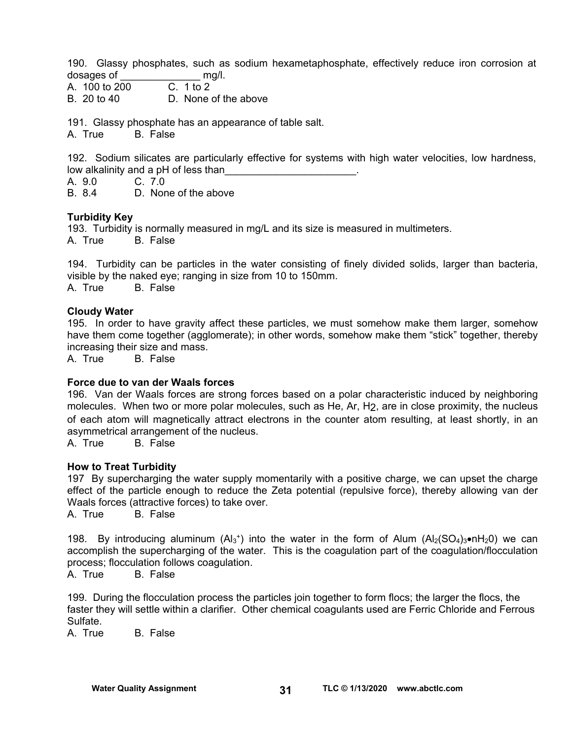190. Glassy phosphates, such as sodium hexametaphosphate, effectively reduce iron corrosion at dosages of \_\_\_\_\_\_\_\_\_\_\_\_\_\_ mg/l.

A. 100 to 200 C. 1 to 2

B. 20 to 40 D. None of the above

191. Glassy phosphate has an appearance of table salt.

A. True B. False

192. Sodium silicates are particularly effective for systems with high water velocities, low hardness, low alkalinity and a pH of less than

A. 9.0 C. 7.0

B. 8.4 D. None of the above

#### **Turbidity Key**

193. Turbidity is normally measured in mg/L and its size is measured in multimeters. A. True B. False

194. Turbidity can be particles in the water consisting of finely divided solids, larger than bacteria, visible by the naked eye; ranging in size from 10 to 150mm. A. True B. False

#### **Cloudy Water**

195. In order to have gravity affect these particles, we must somehow make them larger, somehow have them come together (agglomerate); in other words, somehow make them "stick" together, thereby increasing their size and mass.

A. True B. False

#### **Force due to van der Waals forces**

196. Van der Waals forces are strong forces based on a polar characteristic induced by neighboring molecules. When two or more polar molecules, such as He, Ar, H2, are in close proximity, the nucleus of each atom will magnetically attract electrons in the counter atom resulting, at least shortly, in an asymmetrical arrangement of the nucleus.

A. True B. False

#### **How to Treat Turbidity**

197 By supercharging the water supply momentarily with a positive charge, we can upset the charge effect of the particle enough to reduce the Zeta potential (repulsive force), thereby allowing van der Waals forces (attractive forces) to take over.

A. True B. False

198. By introducing aluminum  $(AI_3^+)$  into the water in the form of Alum  $(AI_2(SO_4)_3 \cdot nH_2O)$  we can accomplish the supercharging of the water. This is the coagulation part of the coagulation/flocculation process; flocculation follows coagulation.

A. True B. False

199. During the flocculation process the particles join together to form flocs; the larger the flocs, the faster they will settle within a clarifier. Other chemical coagulants used are Ferric Chloride and Ferrous Sulfate.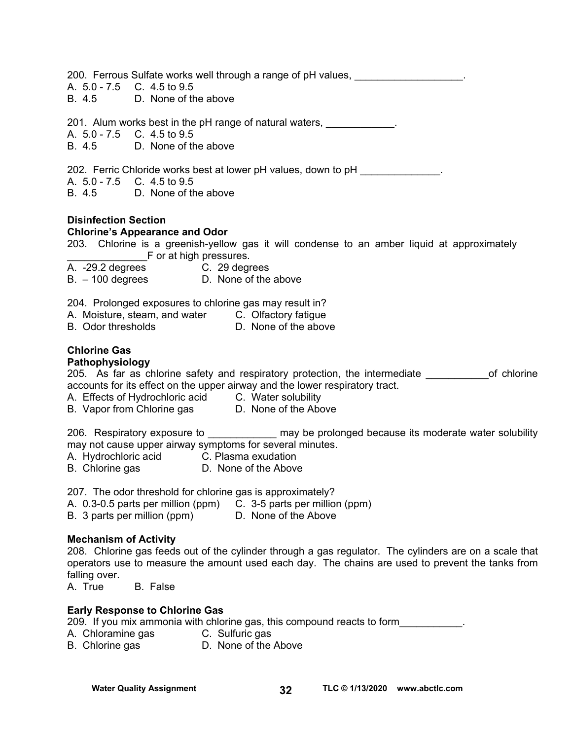| 200. Ferrous Sulfate works well through a range of pH values, we mean the setting of                                                                                                                                                                       |
|------------------------------------------------------------------------------------------------------------------------------------------------------------------------------------------------------------------------------------------------------------|
| A. 5.0 - 7.5 C. 4.5 to 9.5<br>B. 4.5 D. None of the above                                                                                                                                                                                                  |
| 201. Alum works best in the pH range of natural waters, ____________.<br>A. 5.0 - 7.5 C. 4.5 to 9.5                                                                                                                                                        |
| B. 4.5 D. None of the above                                                                                                                                                                                                                                |
| 202. Ferric Chloride works best at lower pH values, down to pH _____________.<br>A. 5.0 - 7.5 C. 4.5 to 9.5                                                                                                                                                |
| B. 4.5 D. None of the above                                                                                                                                                                                                                                |
| <b>Disinfection Section</b><br><b>Chlorine's Appearance and Odor</b><br>203. Chlorine is a greenish-yellow gas it will condense to an amber liquid at approximately<br>F or at high pressures.                                                             |
| A. -29.2 degrees<br>B. – 100 degrees <b>D.</b> None of the above                                                                                                                                                                                           |
| 204. Prolonged exposures to chlorine gas may result in?<br>A. Moisture, steam, and water C. Olfactory fatigue<br>B. Odor thresholds <b>D. None of the above</b><br><b>Chlorine Gas</b>                                                                     |
| Pathophysiology                                                                                                                                                                                                                                            |
| 205. As far as chlorine safety and respiratory protection, the intermediate ____________ of chlorine<br>accounts for its effect on the upper airway and the lower respiratory tract.                                                                       |
| A. Effects of Hydrochloric acid C. Water solubility                                                                                                                                                                                                        |
| B. Vapor from Chlorine gas D. None of the Above                                                                                                                                                                                                            |
| 206. Respiratory exposure to ____________ may be prolonged because its moderate water solubility<br>may not cause upper airway symptoms for several minutes.<br>A. Hydrochloric acid     C. Plasma exudation<br>B. Chlorine gas       D. None of the Above |
|                                                                                                                                                                                                                                                            |
| 207. The odor threshold for chlorine gas is approximately?<br>A. 0.3-0.5 parts per million (ppm)<br>C. 3-5 parts per million (ppm)<br>B. 3 parts per million (ppm)<br>D. None of the Above                                                                 |
| <b>Mechanism of Activity</b>                                                                                                                                                                                                                               |
| 208. Chlorine gas feeds out of the cylinder through a gas regulator. The cylinders are on a scale that<br>operators use to measure the amount used each day. The chains are used to prevent the tanks from                                                 |
| falling over.                                                                                                                                                                                                                                              |
| A. True<br><b>B.</b> False                                                                                                                                                                                                                                 |
| <b>Early Response to Chlorine Gas</b><br>209. If you mix ammonia with chlorine gas, this compound reacts to form                                                                                                                                           |

- 
- A. Chloramine gas<br>B. Chlorine gas C. Sulfuric gas, also sent<br>
C. Sulfuric gas<br>
D. None of the Above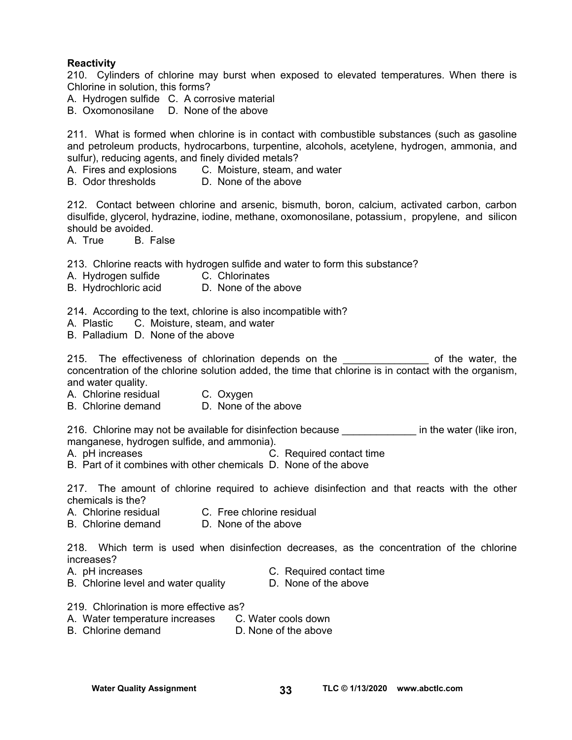#### **Reactivity**

210. Cylinders of chlorine may burst when exposed to elevated temperatures. When there is Chlorine in solution, this forms?

A. Hydrogen sulfide C. A corrosive material

B. Oxomonosilane D. None of the above

211. What is formed when chlorine is in contact with combustible substances (such as gasoline and petroleum products, hydrocarbons, turpentine, alcohols, acetylene, hydrogen, ammonia, and sulfur), reducing agents, and finely divided metals?

- A. Fires and explosions C. Moisture, steam, and water
- B. Odor thresholds D. None of the above

212. Contact between chlorine and arsenic, bismuth, boron, calcium, activated carbon, carbon disulfide, glycerol, hydrazine, iodine, methane, oxomonosilane, potassium , propylene, and silicon should be avoided.

A. True B. False

213. Chlorine reacts with hydrogen sulfide and water to form this substance?

- A. Hydrogen sulfide C. Chlorinates
- B. Hydrochloric acid D. None of the above

214. According to the text, chlorine is also incompatible with?

- A. Plastic C. Moisture, steam, and water
- B. Palladium D. None of the above

215. The effectiveness of chlorination depends on the the same of the water, the concentration of the chlorine solution added, the time that chlorine is in contact with the organism, and water quality.

- A. Chlorine residual C. Oxygen
- B. Chlorine demand D. None of the above

216. Chlorine may not be available for disinfection because **the in the water (like iron**, manganese, hydrogen sulfide, and ammonia).

- A. pH increases **C. Required contact time**
- B. Part of it combines with other chemicals D. None of the above

217. The amount of chlorine required to achieve disinfection and that reacts with the other chemicals is the?

- A. Chlorine residual C. Free chlorine residual
- B. Chlorine demand D. None of the above

218. Which term is used when disinfection decreases, as the concentration of the chlorine increases?

- 
- A. pH increases C. Required contact time
- B. Chlorine level and water quality **D.** None of the above
- 
- 219. Chlorination is more effective as?
- A. Water temperature increases C. Water cools down
- B. Chlorine demand D. None of the above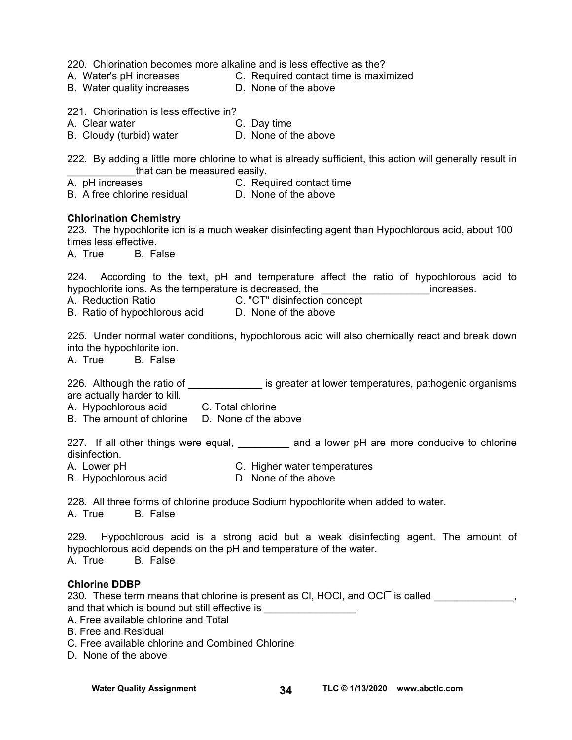220. Chlorination becomes more alkaline and is less effective as the?

- 
- A. Water's pH increases C. Required contact time is maximized
- B. Water quality increases **D.** None of the above

221. Chlorination is less effective in?<br>A. Clear water **C. Day time** 

- A. Clear water **C. Day time**
- B. Cloudy (turbid) water **D.** None of the above

222. By adding a little more chlorine to what is already sufficient, this action will generally result in that can be measured easily.

A. pH increases C. Required contact time

- A. Principled Co.<br>B. A free chlorine residual D. None of the above
- **Chlorination Chemistry**

223. The hypochlorite ion is a much weaker disinfecting agent than Hypochlorous acid, about 100 times less effective.

A. True B. False

224. According to the text, pH and temperature affect the ratio of hypochlorous acid to hypochlorite ions. As the temperature is decreased, the the contract increases.

A. Reduction Ratio C. "CT" disinfection concept

B. Ratio of hypochlorous acid D. None of the above

225. Under normal water conditions, hypochlorous acid will also chemically react and break down into the hypochlorite ion.

A. True B. False

226. Although the ratio of \_\_\_\_\_\_\_\_\_\_\_\_\_\_\_ is greater at lower temperatures, pathogenic organisms are actually harder to kill.

A. Hypochlorous acid C. Total chlorine

B. The amount of chlorine D. None of the above

227. If all other things were equal, \_\_\_\_\_\_\_\_\_ and a lower pH are more conducive to chlorine disinfection.

- A. Lower pH C. Higher water temperatures
- B. Hypochlorous acid D. None of the above

228. All three forms of chlorine produce Sodium hypochlorite when added to water.

A. True B. False

229. Hypochlorous acid is a strong acid but a weak disinfecting agent. The amount of hypochlorous acid depends on the pH and temperature of the water. A. True B. False

## **Chlorine DDBP**

230. These term means that chlorine is present as CI, HOCI, and OCI is called \_\_\_\_\_\_\_\_\_\_\_\_\_, and that which is bound but still effective is \_\_\_\_\_\_\_\_\_\_\_\_\_\_\_\_\_. A. Free available chlorine and Total B. Free and Residual

- C. Free available chlorine and Combined Chlorine
- D. None of the above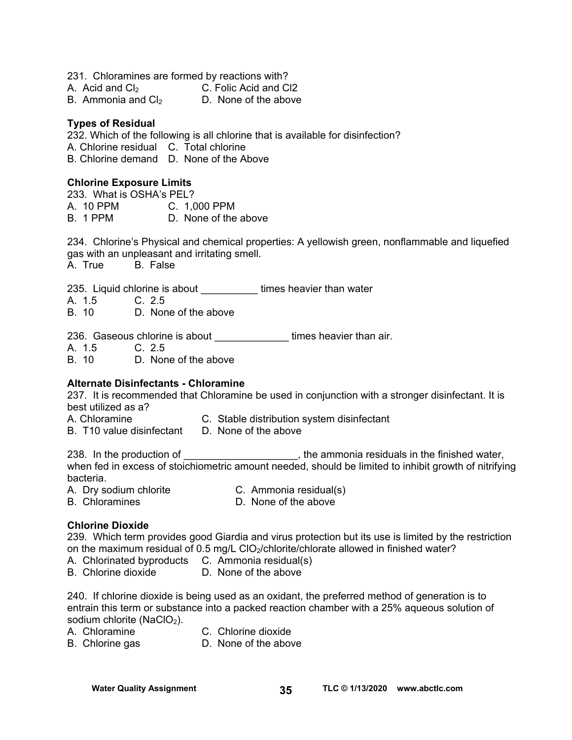| 231. Chloramines are formed by reactions with? |                       |
|------------------------------------------------|-----------------------|
| A. Acid and $Cl2$                              | C. Folic Acid and Cl2 |
| B. Ammonia and $C_2$                           | D. None of the above  |

#### **Types of Residual**

232. Which of the following is all chlorine that is available for disinfection? A. Chlorine residual C. Total chlorine B. Chlorine demand D. None of the Above

#### **Chlorine Exposure Limits**

233. What is OSHA's PEL? A. 10 PPM C. 1,000 PPM B. 1 PPM D. None of the above

234. Chlorine's Physical and chemical properties: A yellowish green, nonflammable and liquefied gas with an unpleasant and irritating smell.

A. True B. False

235. Liquid chlorine is about **times heavier than water** 

A. 1.5 C. 2.5

B. 10 D. None of the above

236. Gaseous chlorine is about \_\_\_\_\_\_\_\_\_\_\_\_\_\_\_\_times heavier than air.

A. 1.5 C. 2.5

B. 10 D. None of the above

## **Alternate Disinfectants - Chloramine**

237. It is recommended that Chloramine be used in conjunction with a stronger disinfectant. It is best utilized as a?

- A. Chloramine C. Stable distribution system disinfectant
- B. T10 value disinfectant D. None of the above

238. In the production of \_\_\_\_\_\_\_\_\_\_\_\_\_\_\_\_\_\_\_\_\_, the ammonia residuals in the finished water, when fed in excess of stoichiometric amount needed, should be limited to inhibit growth of nitrifying bacteria.

A. Dry sodium chlorite C. Ammonia residual(s)

B. Chloramines **D.** None of the above

## **Chlorine Dioxide**

239. Which term provides good Giardia and virus protection but its use is limited by the restriction on the maximum residual of 0.5 mg/L ClO<sub>2</sub>/chlorite/chlorate allowed in finished water?

- A. Chlorinated byproducts C. Ammonia residual(s)
- B. Chlorine dioxide D. None of the above

240. If chlorine dioxide is being used as an oxidant, the preferred method of generation is to entrain this term or substance into a packed reaction chamber with a 25% aqueous solution of sodium chlorite (NaClO<sub>2</sub>).

- 
- A. Chloramine C. Chlorine dioxide
- B. Chlorine gas **D.** None of the above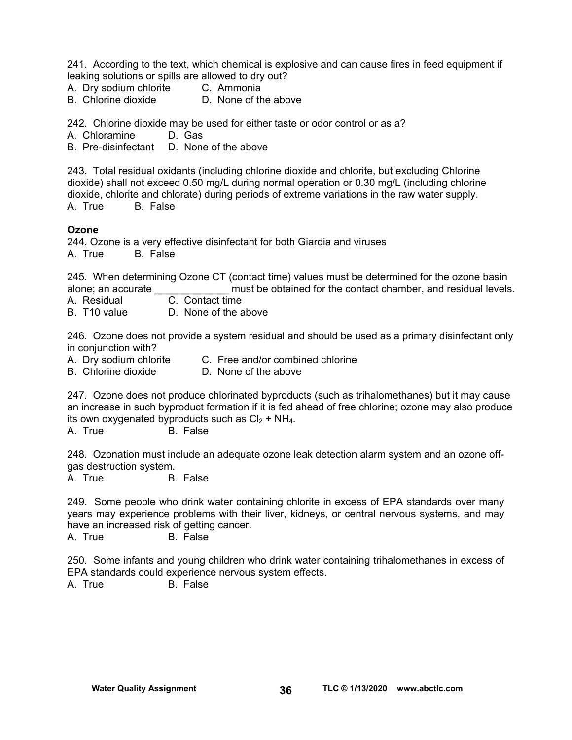241. According to the text, which chemical is explosive and can cause fires in feed equipment if leaking solutions or spills are allowed to dry out?

- A. Dry sodium chlorite C. Ammonia
- B. Chlorine dioxide D. None of the above

242. Chlorine dioxide may be used for either taste or odor control or as a?

A. Chloramine D. Gas

B. Pre-disinfectant D. None of the above

243. Total residual oxidants (including chlorine dioxide and chlorite, but excluding Chlorine dioxide) shall not exceed 0.50 mg/L during normal operation or 0.30 mg/L (including chlorine dioxide, chlorite and chlorate) during periods of extreme variations in the raw water supply. A. True B. False

#### **Ozone**

244. Ozone is a very effective disinfectant for both Giardia and viruses

A. True B. False

245. When determining Ozone CT (contact time) values must be determined for the ozone basin alone; an accurate \_\_\_\_\_\_\_\_\_\_\_\_\_ must be obtained for the contact chamber, and residual levels.

- A. Residual C. Contact time
- B. T10 value D. None of the above

246. Ozone does not provide a system residual and should be used as a primary disinfectant only in conjunction with?

- 
- A. Dry sodium chlorite C. Free and/or combined chlorine<br>B. Chlorine dioxide D. None of the above

D. None of the above

247. Ozone does not produce chlorinated byproducts (such as trihalomethanes) but it may cause an increase in such byproduct formation if it is fed ahead of free chlorine; ozone may also produce its own oxygenated byproducts such as  $Cl_2 + NH_4$ .

A. True B. False

248. Ozonation must include an adequate ozone leak detection alarm system and an ozone offgas destruction system.

B. False

249. Some people who drink water containing chlorite in excess of EPA standards over many years may experience problems with their liver, kidneys, or central nervous systems, and may have an increased risk of getting cancer.

A. True B. False

250. Some infants and young children who drink water containing trihalomethanes in excess of EPA standards could experience nervous system effects.